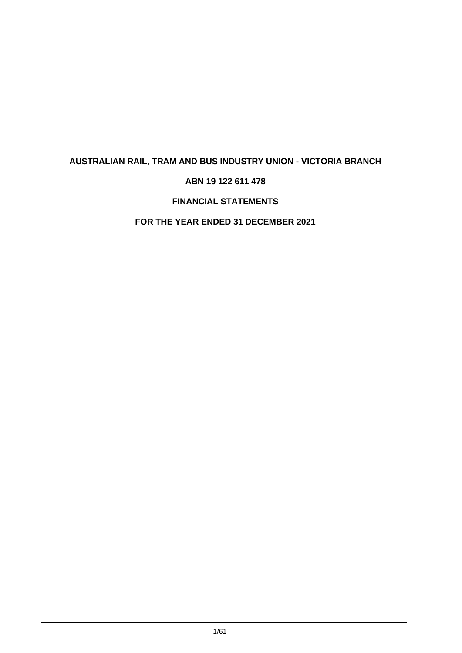# **ABN 19 122 611 478**

# **FINANCIAL STATEMENTS**

# **FOR THE YEAR ENDED 31 DECEMBER 2021**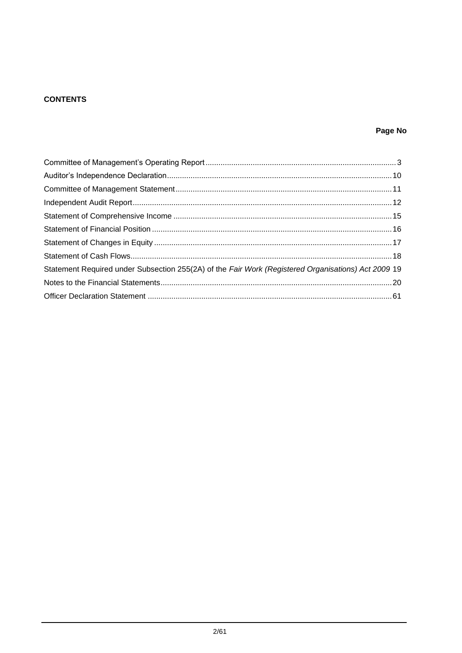# **CONTENTS**

# Page No

| Statement Required under Subsection 255(2A) of the Fair Work (Registered Organisations) Act 2009 19 |  |
|-----------------------------------------------------------------------------------------------------|--|
|                                                                                                     |  |
|                                                                                                     |  |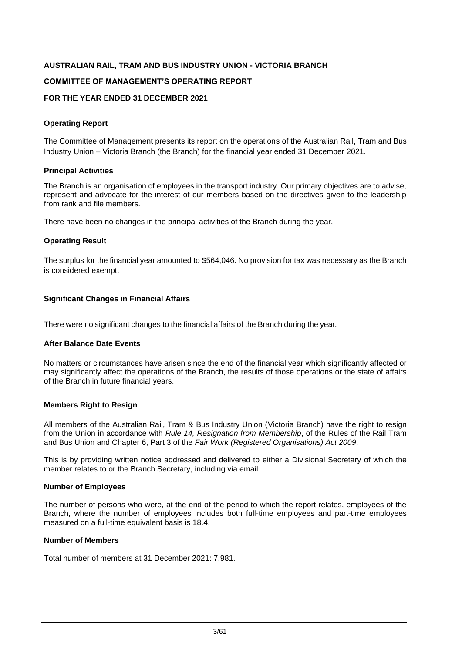#### **COMMITTEE OF MANAGEMENT'S OPERATING REPORT**

#### **FOR THE YEAR ENDED 31 DECEMBER 2021**

#### **Operating Report**

The Committee of Management presents its report on the operations of the Australian Rail, Tram and Bus Industry Union – Victoria Branch (the Branch) for the financial year ended 31 December 2021.

#### **Principal Activities**

The Branch is an organisation of employees in the transport industry. Our primary objectives are to advise, represent and advocate for the interest of our members based on the directives given to the leadership from rank and file members.

There have been no changes in the principal activities of the Branch during the year.

#### **Operating Result**

The surplus for the financial year amounted to \$564,046. No provision for tax was necessary as the Branch is considered exempt.

#### **Significant Changes in Financial Affairs**

There were no significant changes to the financial affairs of the Branch during the year.

#### **After Balance Date Events**

No matters or circumstances have arisen since the end of the financial year which significantly affected or may significantly affect the operations of the Branch, the results of those operations or the state of affairs of the Branch in future financial years.

#### **Members Right to Resign**

All members of the Australian Rail, Tram & Bus Industry Union (Victoria Branch) have the right to resign from the Union in accordance with *Rule 14, Resignation from Membership*, of the Rules of the Rail Tram and Bus Union and Chapter 6, Part 3 of the *Fair Work (Registered Organisations) Act 2009*.

This is by providing written notice addressed and delivered to either a Divisional Secretary of which the member relates to or the Branch Secretary, including via email.

#### **Number of Employees**

The number of persons who were, at the end of the period to which the report relates, employees of the Branch, where the number of employees includes both full-time employees and part-time employees measured on a full-time equivalent basis is 18.4.

#### **Number of Members**

Total number of members at 31 December 2021: 7,981.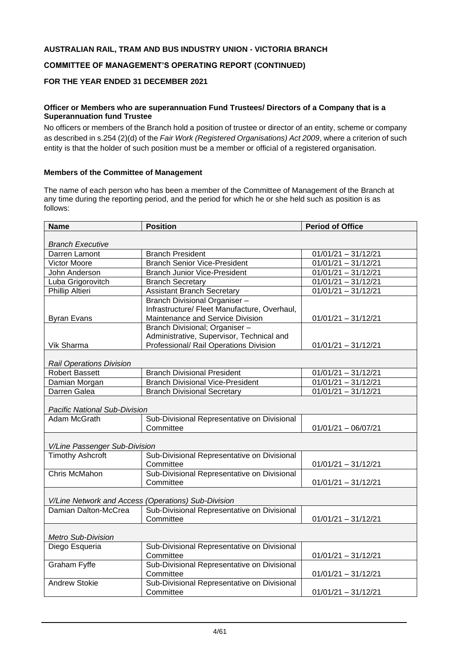## **COMMITTEE OF MANAGEMENT'S OPERATING REPORT (CONTINUED)**

# **FOR THE YEAR ENDED 31 DECEMBER 2021**

#### **Officer or Members who are superannuation Fund Trustees/ Directors of a Company that is a Superannuation fund Trustee**

No officers or members of the Branch hold a position of trustee or director of an entity, scheme or company as described in s.254 (2)(d) of the *Fair Work (Registered Organisations) Act 2009*, where a criterion of such entity is that the holder of such position must be a member or official of a registered organisation.

#### **Members of the Committee of Management**

The name of each person who has been a member of the Committee of Management of the Branch at any time during the reporting period, and the period for which he or she held such as position is as follows:

| <b>Name</b>                          | <b>Position</b>                                          | <b>Period of Office</b>                     |
|--------------------------------------|----------------------------------------------------------|---------------------------------------------|
| <b>Branch Executive</b>              |                                                          |                                             |
| Darren Lamont                        | <b>Branch President</b>                                  | $01/01/21 - 31/12/21$                       |
| <b>Victor Moore</b>                  | <b>Branch Senior Vice-President</b>                      | $01/01/21 - 31/\overline{12/21}$            |
| John Anderson                        | <b>Branch Junior Vice-President</b>                      | $01/01/21 - 31/12/21$                       |
| Luba Grigorovitch                    | <b>Branch Secretary</b>                                  | $01/01/21 - 31/12/21$                       |
| <b>Phillip Altieri</b>               | <b>Assistant Branch Secretary</b>                        | $\overline{01/01/21} - \overline{31/12/21}$ |
|                                      | Branch Divisional Organiser-                             |                                             |
|                                      | Infrastructure/ Fleet Manufacture, Overhaul,             |                                             |
| <b>Byran Evans</b>                   | Maintenance and Service Division                         | $01/01/21 - 31/12/21$                       |
|                                      | Branch Divisional; Organiser -                           |                                             |
|                                      | Administrative, Supervisor, Technical and                |                                             |
| Vik Sharma                           | Professional/ Rail Operations Division                   | $01/01/21 - 31/12/21$                       |
| <b>Rail Operations Division</b>      |                                                          |                                             |
| <b>Robert Bassett</b>                | <b>Branch Divisional President</b>                       | $01/01/21 - 31/12/21$                       |
| Damian Morgan                        | <b>Branch Divisional Vice-President</b>                  | $01/01/21 - 31/12/21$                       |
| Darren Galea                         | <b>Branch Divisional Secretary</b>                       | $01/01/21 - 31/12/21$                       |
| <b>Pacific National Sub-Division</b> |                                                          |                                             |
| Adam McGrath                         | Sub-Divisional Representative on Divisional              |                                             |
|                                      | Committee                                                | $01/01/21 - 06/07/21$                       |
| V/Line Passenger Sub-Division        |                                                          |                                             |
| <b>Timothy Ashcroft</b>              | Sub-Divisional Representative on Divisional              |                                             |
|                                      | Committee                                                | $01/01/21 - 31/12/21$                       |
| Chris McMahon                        | Sub-Divisional Representative on Divisional              |                                             |
|                                      | Committee                                                | $01/01/21 - 31/12/21$                       |
|                                      | V/Line Network and Access (Operations) Sub-Division      |                                             |
| Damian Dalton-McCrea                 | Sub-Divisional Representative on Divisional              |                                             |
|                                      | Committee                                                | $01/01/21 - 31/12/21$                       |
| <b>Metro Sub-Division</b>            |                                                          |                                             |
| Diego Esqueria                       | Sub-Divisional Representative on Divisional              |                                             |
|                                      | Committee                                                | $01/01/21 - 31/12/21$                       |
| Graham Fyffe                         | Sub-Divisional Representative on Divisional<br>Committee | $01/01/21 - 31/12/21$                       |
| <b>Andrew Stokie</b>                 | Sub-Divisional Representative on Divisional              |                                             |
|                                      | Committee                                                | $01/01/21 - 31/12/21$                       |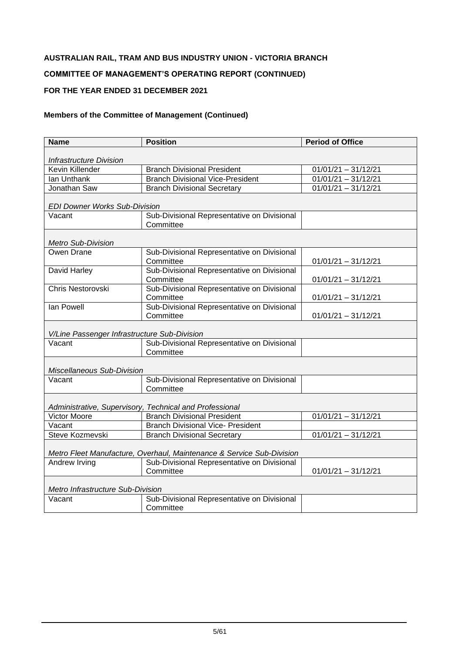# **COMMITTEE OF MANAGEMENT'S OPERATING REPORT (CONTINUED)**

# **FOR THE YEAR ENDED 31 DECEMBER 2021**

| <b>Name</b>                                  | <b>Position</b>                                                       | <b>Period of Office</b> |
|----------------------------------------------|-----------------------------------------------------------------------|-------------------------|
|                                              |                                                                       |                         |
| <b>Infrastructure Division</b>               |                                                                       |                         |
| Kevin Killender                              | <b>Branch Divisional President</b>                                    | $01/01/21 - 31/12/21$   |
| Ian Unthank                                  | <b>Branch Divisional Vice-President</b>                               | $01/01/21 - 31/12/21$   |
| Jonathan Saw                                 | <b>Branch Divisional Secretary</b>                                    | $01/01/21 - 31/12/21$   |
| <b>EDI Downer Works Sub-Division</b>         |                                                                       |                         |
| Vacant                                       | Sub-Divisional Representative on Divisional<br>Committee              |                         |
| <b>Metro Sub-Division</b>                    |                                                                       |                         |
| Owen Drane                                   | Sub-Divisional Representative on Divisional                           |                         |
|                                              | Committee                                                             | $01/01/21 - 31/12/21$   |
| David Harley                                 | Sub-Divisional Representative on Divisional                           |                         |
|                                              | Committee                                                             | $01/01/21 - 31/12/21$   |
| Chris Nestorovski                            | Sub-Divisional Representative on Divisional                           |                         |
|                                              | Committee                                                             | $01/01/21 - 31/12/21$   |
| Ian Powell                                   | Sub-Divisional Representative on Divisional                           |                         |
|                                              | Committee                                                             | $01/01/21 - 31/12/21$   |
| V/Line Passenger Infrastructure Sub-Division |                                                                       |                         |
| Vacant                                       | Sub-Divisional Representative on Divisional                           |                         |
|                                              | Committee                                                             |                         |
|                                              |                                                                       |                         |
| Miscellaneous Sub-Division                   |                                                                       |                         |
| Vacant                                       | Sub-Divisional Representative on Divisional<br>Committee              |                         |
|                                              |                                                                       |                         |
|                                              | Administrative, Supervisory, Technical and Professional               |                         |
| Victor Moore                                 | <b>Branch Divisional President</b>                                    | $01/01/21 - 31/12/21$   |
| Vacant                                       | <b>Branch Divisional Vice- President</b>                              |                         |
| Steve Kozmevski                              | <b>Branch Divisional Secretary</b>                                    | $01/01/21 - 31/12/21$   |
|                                              |                                                                       |                         |
|                                              | Metro Fleet Manufacture, Overhaul, Maintenance & Service Sub-Division |                         |
| Andrew Irving                                | Sub-Divisional Representative on Divisional                           |                         |
|                                              | Committee                                                             | $01/01/21 - 31/12/21$   |
| Metro Infrastructure Sub-Division            |                                                                       |                         |
| Vacant                                       | Sub-Divisional Representative on Divisional                           |                         |
|                                              | Committee                                                             |                         |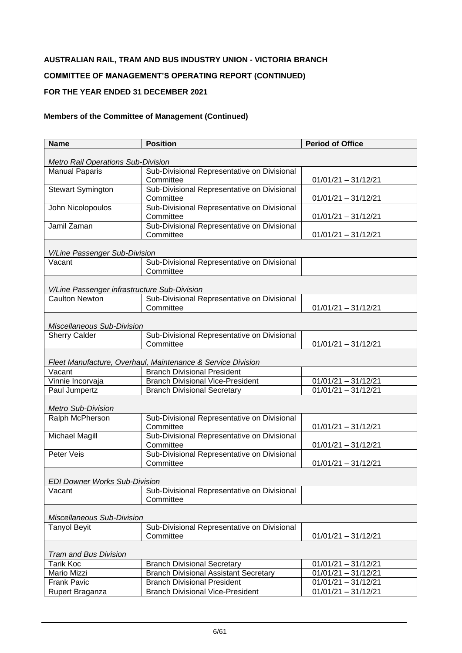# **COMMITTEE OF MANAGEMENT'S OPERATING REPORT (CONTINUED)**

# **FOR THE YEAR ENDED 31 DECEMBER 2021**

| <b>Name</b>                                  | <b>Position</b>                                                                    | <b>Period of Office</b>                        |
|----------------------------------------------|------------------------------------------------------------------------------------|------------------------------------------------|
|                                              |                                                                                    |                                                |
| <b>Metro Rail Operations Sub-Division</b>    |                                                                                    |                                                |
| <b>Manual Paparis</b>                        | Sub-Divisional Representative on Divisional                                        |                                                |
|                                              | Committee                                                                          | $01/01/21 - 31/12/21$                          |
| <b>Stewart Symington</b>                     | Sub-Divisional Representative on Divisional<br>Committee                           |                                                |
| John Nicolopoulos                            | Sub-Divisional Representative on Divisional                                        | $01/01/21 - 31/12/21$                          |
|                                              | Committee                                                                          | $01/01/21 - 31/12/21$                          |
| Jamil Zaman                                  | Sub-Divisional Representative on Divisional                                        |                                                |
|                                              | Committee                                                                          | $01/01/21 - 31/12/21$                          |
|                                              |                                                                                    |                                                |
| V/Line Passenger Sub-Division                |                                                                                    |                                                |
| Vacant                                       | Sub-Divisional Representative on Divisional                                        |                                                |
|                                              | Committee                                                                          |                                                |
|                                              |                                                                                    |                                                |
| V/Line Passenger infrastructure Sub-Division |                                                                                    |                                                |
| <b>Caulton Newton</b>                        | Sub-Divisional Representative on Divisional                                        |                                                |
|                                              | Committee                                                                          | $01/01/21 - 31/12/21$                          |
|                                              |                                                                                    |                                                |
| Miscellaneous Sub-Division                   |                                                                                    |                                                |
| <b>Sherry Calder</b>                         | Sub-Divisional Representative on Divisional                                        |                                                |
|                                              | Committee                                                                          | $01/01/21 - 31/12/21$                          |
|                                              |                                                                                    |                                                |
|                                              | Fleet Manufacture, Overhaul, Maintenance & Service Division                        |                                                |
| Vacant                                       | <b>Branch Divisional President</b><br><b>Branch Divisional Vice-President</b>      |                                                |
| Vinnie Incorvaja<br>Paul Jumpertz            | <b>Branch Divisional Secretary</b>                                                 | $01/01/21 - 31/12/21$<br>$01/01/21 - 31/12/21$ |
|                                              |                                                                                    |                                                |
| <b>Metro Sub-Division</b>                    |                                                                                    |                                                |
| Ralph McPherson                              | Sub-Divisional Representative on Divisional                                        |                                                |
|                                              | Committee                                                                          | $01/01/21 - 31/12/21$                          |
| <b>Michael Magill</b>                        | Sub-Divisional Representative on Divisional                                        |                                                |
|                                              | Committee                                                                          | $01/01/21 - 31/12/21$                          |
| Peter Veis                                   | Sub-Divisional Representative on Divisional                                        |                                                |
|                                              | Committee                                                                          | $01/01/21 - 31/12/21$                          |
|                                              |                                                                                    |                                                |
| <b>EDI Downer Works Sub-Division</b>         |                                                                                    |                                                |
| Vacant                                       | Sub-Divisional Representative on Divisional                                        |                                                |
|                                              | Committee                                                                          |                                                |
|                                              |                                                                                    |                                                |
| Miscellaneous Sub-Division                   |                                                                                    |                                                |
| <b>Tanyol Beyit</b>                          | Sub-Divisional Representative on Divisional                                        |                                                |
|                                              | Committee                                                                          | $01/01/21 - 31/12/21$                          |
|                                              |                                                                                    |                                                |
| <b>Tram and Bus Division</b>                 |                                                                                    |                                                |
| <b>Tarik Koc</b><br>Mario Mizzi              | <b>Branch Divisional Secretary</b>                                                 | $01/01/21 - 31/12/21$<br>$01/01/21 - 31/12/21$ |
| <b>Frank Pavic</b>                           | <b>Branch Divisional Assistant Secretary</b><br><b>Branch Divisional President</b> | $01/01/21 - 31/12/21$                          |
| Rupert Braganza                              | <b>Branch Divisional Vice-President</b>                                            | $01/01/21 - 31/12/21$                          |
|                                              |                                                                                    |                                                |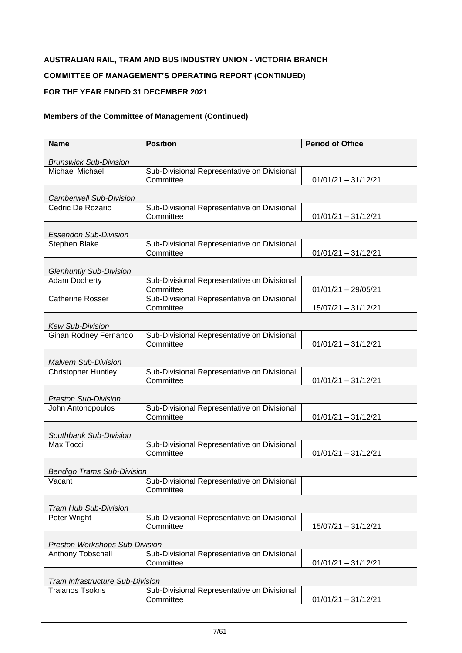# **COMMITTEE OF MANAGEMENT'S OPERATING REPORT (CONTINUED)**

# **FOR THE YEAR ENDED 31 DECEMBER 2021**

| <b>Name</b>                             | <b>Position</b>                                          | <b>Period of Office</b> |
|-----------------------------------------|----------------------------------------------------------|-------------------------|
| <b>Brunswick Sub-Division</b>           |                                                          |                         |
| <b>Michael Michael</b>                  | Sub-Divisional Representative on Divisional              |                         |
|                                         | Committee                                                | $01/01/21 - 31/12/21$   |
| <b>Camberwell Sub-Division</b>          |                                                          |                         |
| Cedric De Rozario                       | Sub-Divisional Representative on Divisional              |                         |
|                                         | Committee                                                | $01/01/21 - 31/12/21$   |
| <b>Essendon Sub-Division</b>            |                                                          |                         |
| Stephen Blake                           | Sub-Divisional Representative on Divisional              |                         |
|                                         | Committee                                                | $01/01/21 - 31/12/21$   |
| <b>Glenhuntly Sub-Division</b>          |                                                          |                         |
| <b>Adam Docherty</b>                    | Sub-Divisional Representative on Divisional              |                         |
|                                         | Committee                                                | $01/01/21 - 29/05/21$   |
| <b>Catherine Rosser</b>                 | Sub-Divisional Representative on Divisional<br>Committee | 15/07/21 - 31/12/21     |
|                                         |                                                          |                         |
| <b>Kew Sub-Division</b>                 |                                                          |                         |
| Gihan Rodney Fernando                   | Sub-Divisional Representative on Divisional              |                         |
|                                         | Committee                                                | $01/01/21 - 31/12/21$   |
| <b>Malvern Sub-Division</b>             |                                                          |                         |
| <b>Christopher Huntley</b>              | Sub-Divisional Representative on Divisional              |                         |
|                                         | Committee                                                | $01/01/21 - 31/12/21$   |
| <b>Preston Sub-Division</b>             |                                                          |                         |
| John Antonopoulos                       | Sub-Divisional Representative on Divisional              |                         |
|                                         | Committee                                                | $01/01/21 - 31/12/21$   |
| Southbank Sub-Division                  |                                                          |                         |
| Max Tocci                               | Sub-Divisional Representative on Divisional              |                         |
|                                         | Committee                                                | $01/01/21 - 31/12/21$   |
| <b>Bendigo Trams Sub-Division</b>       |                                                          |                         |
| Vacant                                  | Sub-Divisional Representative on Divisional              |                         |
|                                         | Committee                                                |                         |
| <b>Tram Hub Sub-Division</b>            |                                                          |                         |
| Peter Wright                            | Sub-Divisional Representative on Divisional              |                         |
|                                         | Committee                                                | 15/07/21 - 31/12/21     |
| Preston Workshops Sub-Division          |                                                          |                         |
| <b>Anthony Tobschall</b>                | Sub-Divisional Representative on Divisional              |                         |
|                                         | Committee                                                | $01/01/21 - 31/12/21$   |
| <b>Tram Infrastructure Sub-Division</b> |                                                          |                         |
| <b>Traianos Tsokris</b>                 | Sub-Divisional Representative on Divisional              |                         |
|                                         | Committee                                                | $01/01/21 - 31/12/21$   |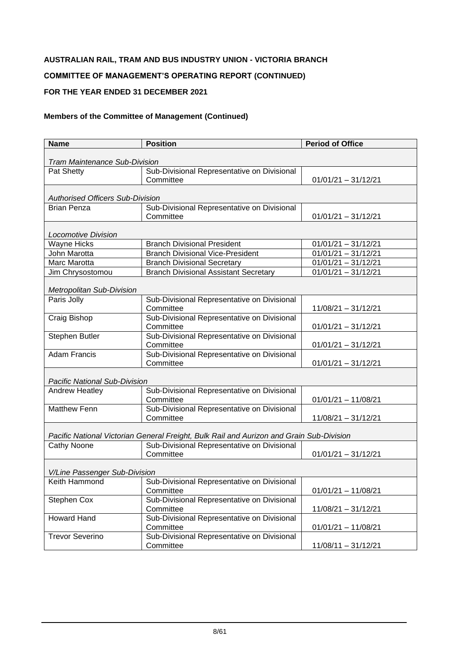# **COMMITTEE OF MANAGEMENT'S OPERATING REPORT (CONTINUED)**

## **FOR THE YEAR ENDED 31 DECEMBER 2021**

| <b>Name</b>                             | <b>Position</b>                                                                          | <b>Period of Office</b> |
|-----------------------------------------|------------------------------------------------------------------------------------------|-------------------------|
|                                         |                                                                                          |                         |
| <b>Tram Maintenance Sub-Division</b>    |                                                                                          |                         |
| Pat Shetty                              | Sub-Divisional Representative on Divisional<br>Committee                                 |                         |
|                                         |                                                                                          | $01/01/21 - 31/12/21$   |
| <b>Authorised Officers Sub-Division</b> |                                                                                          |                         |
| <b>Brian Penza</b>                      | Sub-Divisional Representative on Divisional                                              |                         |
|                                         | Committee                                                                                | $01/01/21 - 31/12/21$   |
| <b>Locomotive Division</b>              |                                                                                          |                         |
| <b>Wayne Hicks</b>                      | <b>Branch Divisional President</b>                                                       | $01/01/21 - 31/12/21$   |
| John Marotta                            | <b>Branch Divisional Vice-President</b>                                                  | $01/01/21 - 31/12/21$   |
| Marc Marotta                            | <b>Branch Divisional Secretary</b>                                                       | $01/01/21 - 31/12/21$   |
| Jim Chrysostomou                        | <b>Branch Divisional Assistant Secretary</b>                                             | $01/01/21 - 31/12/21$   |
|                                         |                                                                                          |                         |
| <b>Metropolitan Sub-Division</b>        |                                                                                          |                         |
| Paris Jolly                             | Sub-Divisional Representative on Divisional                                              |                         |
|                                         | Committee                                                                                | $11/08/21 - 31/12/21$   |
| Craig Bishop                            | Sub-Divisional Representative on Divisional                                              |                         |
|                                         | Committee                                                                                | $01/01/21 - 31/12/21$   |
| Stephen Butler                          | Sub-Divisional Representative on Divisional                                              |                         |
|                                         | Committee                                                                                | $01/01/21 - 31/12/21$   |
| <b>Adam Francis</b>                     | Sub-Divisional Representative on Divisional                                              |                         |
|                                         | Committee                                                                                | $01/01/21 - 31/12/21$   |
|                                         |                                                                                          |                         |
| Pacific National Sub-Division           |                                                                                          |                         |
| Andrew Heatley                          | Sub-Divisional Representative on Divisional                                              |                         |
|                                         | Committee                                                                                | $01/01/21 - 11/08/21$   |
| <b>Matthew Fenn</b>                     | Sub-Divisional Representative on Divisional                                              |                         |
|                                         | Committee                                                                                | $11/08/21 - 31/12/21$   |
|                                         | Pacific National Victorian General Freight, Bulk Rail and Aurizon and Grain Sub-Division |                         |
| <b>Cathy Noone</b>                      | Sub-Divisional Representative on Divisional                                              |                         |
|                                         | Committee                                                                                | $01/01/21 - 31/12/21$   |
|                                         |                                                                                          |                         |
| V/Line Passenger Sub-Division           |                                                                                          |                         |
| Keith Hammond                           | Sub-Divisional Representative on Divisional                                              |                         |
|                                         | Committee                                                                                | $01/01/21 - 11/08/21$   |
| Stephen Cox                             | Sub-Divisional Representative on Divisional                                              |                         |
|                                         | Committee                                                                                | 11/08/21 - 31/12/21     |
| <b>Howard Hand</b>                      | Sub-Divisional Representative on Divisional                                              |                         |
|                                         | Committee                                                                                | $01/01/21 - 11/08/21$   |
| <b>Trevor Severino</b>                  | Sub-Divisional Representative on Divisional                                              |                         |
|                                         | Committee                                                                                | $11/08/11 - 31/12/21$   |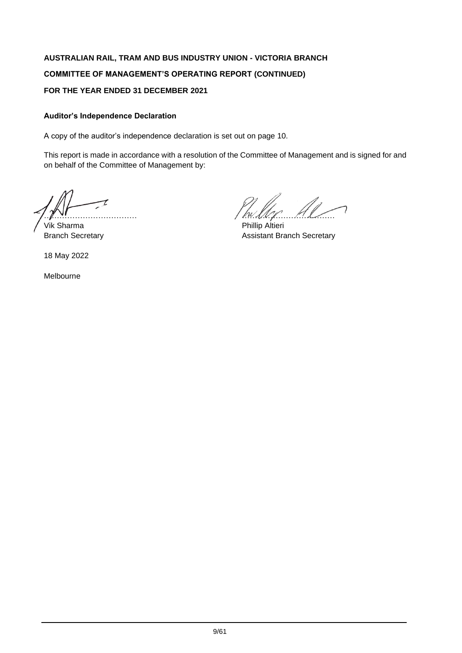# **AUSTRALIAN RAIL, TRAM AND BUS INDUSTRY UNION - VICTORIA BRANCH COMMITTEE OF MANAGEMENT'S OPERATING REPORT (CONTINUED) FOR THE YEAR ENDED 31 DECEMBER 2021**

# **Auditor's Independence Declaration**

A copy of the auditor's independence declaration is set out on page 10.

This report is made in accordance with a resolution of the Committee of Management and is signed for and on behalf of the Committee of Management by:

Vik Sharma **Phillip Altieri** 

18 May 2022

Melbourne

 $\mu$  . The contract of the contract of the contract of  $\mu$ 

Branch Secretary **Assistant Branch Secretary**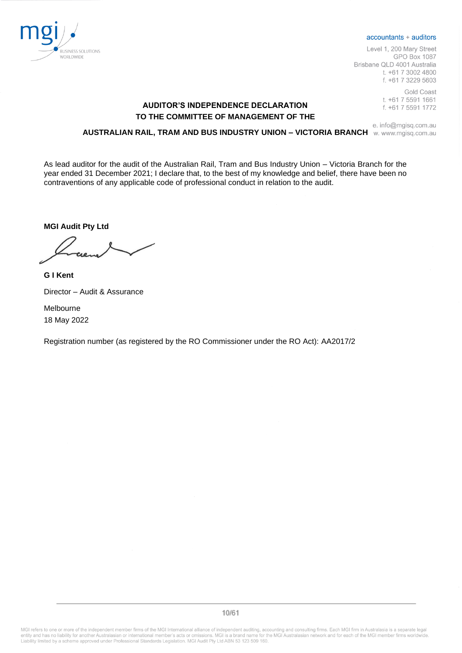

#### accountants + auditors

Level 1, 200 Mary Street **GPO Box 1087** Brisbane QLD 4001 Australia t. +61 7 3002 4800 f. +61 7 3229 5603

> **Gold Coast** t. +61 7 5591 1661 f. +61 7 5591 1772

# **AUDITOR'S INDEPENDENCE DECLARATION TO THE COMMITTEE OF MANAGEMENT OF THE**

#### e. info@mgisq.com.au **AUSTRALIAN RAIL, TRAM AND BUS INDUSTRY UNION – VICTORIA BRANCH**

As lead auditor for the audit of the Australian Rail, Tram and Bus Industry Union – Victoria Branch for the year ended 31 December 2021; I declare that, to the best of my knowledge and belief, there have been no contraventions of any applicable code of professional conduct in relation to the audit.

**MGI Audit Pty Ltd**

**G I Kent**  Director – Audit & Assurance

Melbourne 18 May 2022

Registration number (as registered by the RO Commissioner under the RO Act): AA2017/2

MGI refers to one or more of the independent member firms of the MGI International alliance of independent auditing, accounting and consulting firms. Each MGI firm in Australasia is a separate legal<br>entity and has no liabi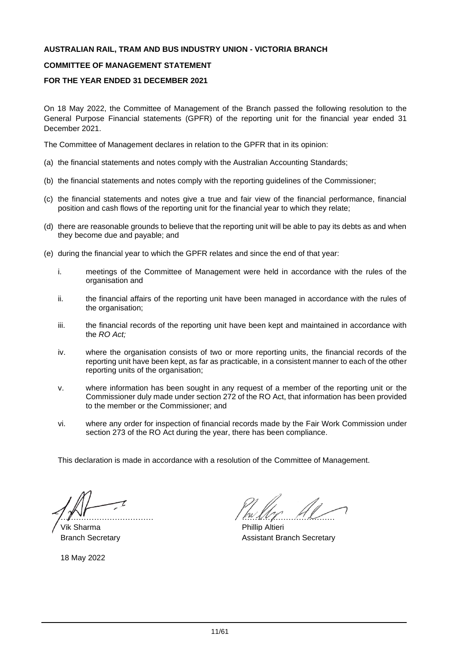#### **COMMITTEE OF MANAGEMENT STATEMENT**

### **FOR THE YEAR ENDED 31 DECEMBER 2021**

On 18 May 2022, the Committee of Management of the Branch passed the following resolution to the General Purpose Financial statements (GPFR) of the reporting unit for the financial year ended 31 December 2021.

The Committee of Management declares in relation to the GPFR that in its opinion:

- (a) the financial statements and notes comply with the Australian Accounting Standards;
- (b) the financial statements and notes comply with the reporting guidelines of the Commissioner;
- (c) the financial statements and notes give a true and fair view of the financial performance, financial position and cash flows of the reporting unit for the financial year to which they relate;
- (d) there are reasonable grounds to believe that the reporting unit will be able to pay its debts as and when they become due and payable; and
- (e) during the financial year to which the GPFR relates and since the end of that year:
	- i. meetings of the Committee of Management were held in accordance with the rules of the organisation and
	- ii. the financial affairs of the reporting unit have been managed in accordance with the rules of the organisation;
	- iii. the financial records of the reporting unit have been kept and maintained in accordance with the *RO Act;*
	- iv. where the organisation consists of two or more reporting units, the financial records of the reporting unit have been kept, as far as practicable, in a consistent manner to each of the other reporting units of the organisation;
	- v. where information has been sought in any request of a member of the reporting unit or the Commissioner duly made under section 272 of the RO Act, that information has been provided to the member or the Commissioner; and
	- vi. where any order for inspection of financial records made by the Fair Work Commission under section 273 of the RO Act during the year, there has been compliance.

This declaration is made in accordance with a resolution of the Committee of Management.

Vik Sharma **Phillip Altieri** Phillip Altieri

18 May 2022

 $\mu$  . The contract of  $\mu$  is the contract of  $\mu$ 

Branch Secretary **Assistant Branch Secretary** Assistant Branch Secretary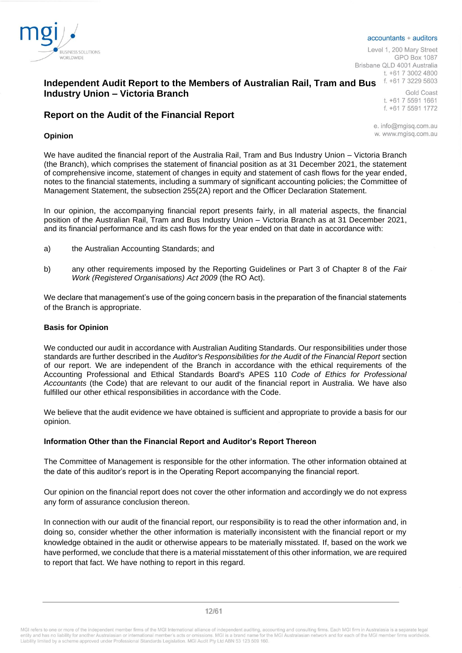

#### accountants + auditors

Level 1, 200 Mary Street GPO Box 1087 Brisbane QLD 4001 Australia t. +61 7 3002 4800

# **Independent Audit Report to the Members of Australian Rail, Tram and Bus Industry Union – Victoria Branch**

# **Report on the Audit of the Financial Report**

#### **Opinion**

t. +61 7 5591 1661 f. +61 7 5591 1772

**Gold Coast** 

e. info@mgisq.com.au w. www.mgisg.com.au

We have audited the financial report of the Australia Rail, Tram and Bus Industry Union – Victoria Branch (the Branch), which comprises the statement of financial position as at 31 December 2021, the statement of comprehensive income, statement of changes in equity and statement of cash flows for the year ended, notes to the financial statements, including a summary of significant accounting policies; the Committee of Management Statement, the subsection 255(2A) report and the Officer Declaration Statement.

In our opinion, the accompanying financial report presents fairly, in all material aspects, the financial position of the Australian Rail, Tram and Bus Industry Union – Victoria Branch as at 31 December 2021, and its financial performance and its cash flows for the year ended on that date in accordance with:

- a) the Australian Accounting Standards; and
- b) any other requirements imposed by the Reporting Guidelines or Part 3 of Chapter 8 of the *Fair Work (Registered Organisations) Act 2009* (the RO Act).

We declare that management's use of the going concern basis in the preparation of the financial statements of the Branch is appropriate.

#### **Basis for Opinion**

We conducted our audit in accordance with Australian Auditing Standards. Our responsibilities under those standards are further described in the *Auditor's Responsibilities for the Audit of the Financial Report* section of our report. We are independent of the Branch in accordance with the ethical requirements of the Accounting Professional and Ethical Standards Board's APES 110 *Code of Ethics for Professional Accountants* (the Code) that are relevant to our audit of the financial report in Australia. We have also fulfilled our other ethical responsibilities in accordance with the Code.

We believe that the audit evidence we have obtained is sufficient and appropriate to provide a basis for our opinion.

#### **Information Other than the Financial Report and Auditor's Report Thereon**

The Committee of Management is responsible for the other information. The other information obtained at the date of this auditor's report is in the Operating Report accompanying the financial report.

Our opinion on the financial report does not cover the other information and accordingly we do not express any form of assurance conclusion thereon.

In connection with our audit of the financial report, our responsibility is to read the other information and, in doing so, consider whether the other information is materially inconsistent with the financial report or my knowledge obtained in the audit or otherwise appears to be materially misstated. If, based on the work we have performed, we conclude that there is a material misstatement of this other information, we are required to report that fact. We have nothing to report in this regard.

MGI refers to one or more of the independent member firms of the MGI International alliance of independent auditing, accounting and consulting firms. Each MGI firm in Australasia is a separate legal<br>entity and has no liabi Liability limited by a scheme approved under Professional Standards Legislation. MGI Audit Pty Ltd ABN 53 123 509 160.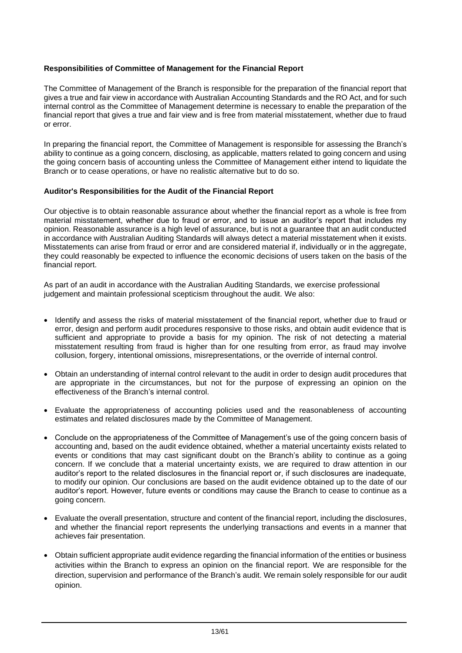### **Responsibilities of Committee of Management for the Financial Report**

The Committee of Management of the Branch is responsible for the preparation of the financial report that gives a true and fair view in accordance with Australian Accounting Standards and the RO Act, and for such internal control as the Committee of Management determine is necessary to enable the preparation of the financial report that gives a true and fair view and is free from material misstatement, whether due to fraud or error.

In preparing the financial report, the Committee of Management is responsible for assessing the Branch's ability to continue as a going concern, disclosing, as applicable, matters related to going concern and using the going concern basis of accounting unless the Committee of Management either intend to liquidate the Branch or to cease operations, or have no realistic alternative but to do so.

#### **Auditor's Responsibilities for the Audit of the Financial Report**

Our objective is to obtain reasonable assurance about whether the financial report as a whole is free from material misstatement, whether due to fraud or error, and to issue an auditor's report that includes my opinion. Reasonable assurance is a high level of assurance, but is not a guarantee that an audit conducted in accordance with Australian Auditing Standards will always detect a material misstatement when it exists. Misstatements can arise from fraud or error and are considered material if, individually or in the aggregate, they could reasonably be expected to influence the economic decisions of users taken on the basis of the financial report.

As part of an audit in accordance with the Australian Auditing Standards, we exercise professional judgement and maintain professional scepticism throughout the audit. We also:

- Identify and assess the risks of material misstatement of the financial report, whether due to fraud or error, design and perform audit procedures responsive to those risks, and obtain audit evidence that is sufficient and appropriate to provide a basis for my opinion. The risk of not detecting a material misstatement resulting from fraud is higher than for one resulting from error, as fraud may involve collusion, forgery, intentional omissions, misrepresentations, or the override of internal control.
- Obtain an understanding of internal control relevant to the audit in order to design audit procedures that are appropriate in the circumstances, but not for the purpose of expressing an opinion on the effectiveness of the Branch's internal control.
- Evaluate the appropriateness of accounting policies used and the reasonableness of accounting estimates and related disclosures made by the Committee of Management.
- Conclude on the appropriateness of the Committee of Management's use of the going concern basis of accounting and, based on the audit evidence obtained, whether a material uncertainty exists related to events or conditions that may cast significant doubt on the Branch's ability to continue as a going concern. If we conclude that a material uncertainty exists, we are required to draw attention in our auditor's report to the related disclosures in the financial report or, if such disclosures are inadequate, to modify our opinion. Our conclusions are based on the audit evidence obtained up to the date of our auditor's report. However, future events or conditions may cause the Branch to cease to continue as a going concern.
- Evaluate the overall presentation, structure and content of the financial report, including the disclosures, and whether the financial report represents the underlying transactions and events in a manner that achieves fair presentation.
- Obtain sufficient appropriate audit evidence regarding the financial information of the entities or business activities within the Branch to express an opinion on the financial report. We are responsible for the direction, supervision and performance of the Branch's audit. We remain solely responsible for our audit opinion.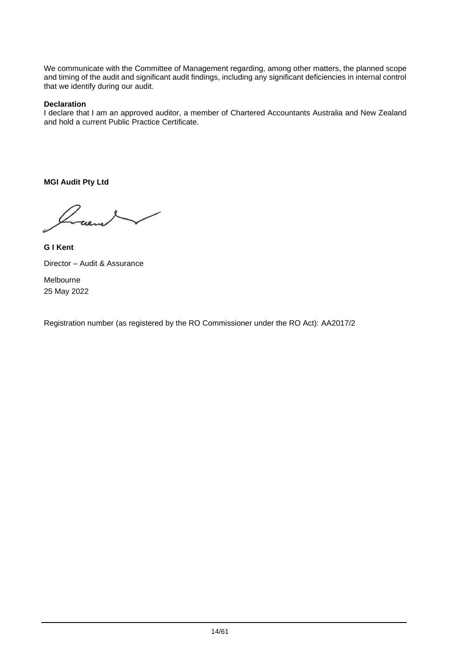We communicate with the Committee of Management regarding, among other matters, the planned scope and timing of the audit and significant audit findings, including any significant deficiencies in internal control that we identify during our audit.

### **Declaration**

I declare that I am an approved auditor, a member of Chartered Accountants Australia and New Zealand and hold a current Public Practice Certificate.

**MGI Audit Pty Ltd**

25 May 2022

**G I Kent** Director – Audit & Assurance Melbourne

Registration number (as registered by the RO Commissioner under the RO Act): AA2017/2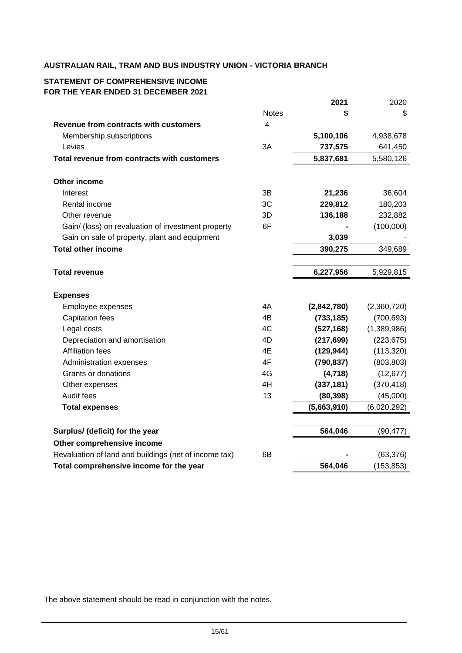## **STATEMENT OF COMPREHENSIVE INCOME FOR THE YEAR ENDED 31 DECEMBER 2021**

|                                                       |                | 2021        | 2020        |
|-------------------------------------------------------|----------------|-------------|-------------|
|                                                       | <b>Notes</b>   | \$          | \$          |
| Revenue from contracts with customers                 | $\overline{4}$ |             |             |
| Membership subscriptions                              |                | 5,100,106   | 4,938,678   |
| Levies                                                | 3A             | 737,575     | 641,450     |
| Total revenue from contracts with customers           |                | 5,837,681   | 5,580,126   |
|                                                       |                |             |             |
| Other income                                          |                |             |             |
| Interest                                              | 3B             | 21,236      | 36,604      |
| Rental income                                         | 3C             | 229,812     | 180,203     |
| Other revenue                                         | 3D             | 136,188     | 232,882     |
| Gain/ (loss) on revaluation of investment property    | 6F             |             | (100,000)   |
| Gain on sale of property, plant and equipment         |                | 3,039       |             |
| <b>Total other income</b>                             |                | 390,275     | 349,689     |
|                                                       |                |             |             |
| <b>Total revenue</b>                                  |                | 6,227,956   | 5,929,815   |
|                                                       |                |             |             |
| <b>Expenses</b>                                       |                |             |             |
| Employee expenses                                     | 4A             | (2,842,780) | (2,360,720) |
| <b>Capitation fees</b>                                | 4B             | (733, 185)  | (700, 693)  |
| Legal costs                                           | 4C             | (527, 168)  | (1,389,986) |
| Depreciation and amortisation                         | 4D             | (217, 699)  | (223, 675)  |
| <b>Affiliation fees</b>                               | 4E             | (129, 944)  | (113, 320)  |
| Administration expenses                               | 4F             | (790, 837)  | (803, 803)  |
| Grants or donations                                   | 4G             | (4, 718)    | (12, 677)   |
| Other expenses                                        | 4H             | (337, 181)  | (370, 418)  |
| Audit fees                                            | 13             | (80, 398)   | (45,000)    |
| <b>Total expenses</b>                                 |                | (5,663,910) | (6,020,292) |
|                                                       |                |             |             |
| Surplus/ (deficit) for the year                       |                | 564,046     | (90, 477)   |
| Other comprehensive income                            |                |             |             |
| Revaluation of land and buildings (net of income tax) | 6В             |             | (63, 376)   |
| Total comprehensive income for the year               |                | 564,046     | (153, 853)  |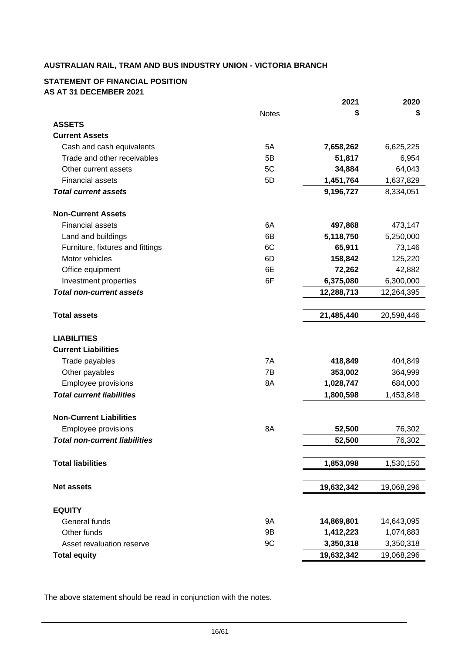### **STATEMENT OF FINANCIAL POSITION AS AT 31 DECEMBER 2021**

|                                      |              | 2021       | 2020       |
|--------------------------------------|--------------|------------|------------|
|                                      | <b>Notes</b> | \$         | \$         |
| <b>ASSETS</b>                        |              |            |            |
| <b>Current Assets</b>                |              |            |            |
| Cash and cash equivalents            | 5A           | 7,658,262  | 6,625,225  |
| Trade and other receivables          | 5B           | 51,817     | 6,954      |
| Other current assets                 | 5C           | 34,884     | 64,043     |
| <b>Financial assets</b>              | 5D           | 1,451,764  | 1,637,829  |
| <b>Total current assets</b>          |              | 9,196,727  | 8,334,051  |
| <b>Non-Current Assets</b>            |              |            |            |
| <b>Financial assets</b>              | 6A           | 497,868    | 473,147    |
| Land and buildings                   | 6B           | 5,118,750  | 5,250,000  |
| Furniture, fixtures and fittings     | 6C           | 65,911     | 73,146     |
| Motor vehicles                       | 6D           | 158,842    | 125,220    |
| Office equipment                     | 6E           | 72,262     | 42,882     |
| Investment properties                | 6F           | 6,375,080  | 6,300,000  |
| <b>Total non-current assets</b>      |              | 12,288,713 | 12,264,395 |
|                                      |              |            |            |
| <b>Total assets</b>                  |              | 21,485,440 | 20,598,446 |
| <b>LIABILITIES</b>                   |              |            |            |
| <b>Current Liabilities</b>           |              |            |            |
| Trade payables                       | 7A           | 418,849    | 404,849    |
| Other payables                       | 7B           | 353,002    | 364,999    |
| Employee provisions                  | 8A           | 1,028,747  | 684,000    |
| <b>Total current liabilities</b>     |              | 1,800,598  | 1,453,848  |
| <b>Non-Current Liabilities</b>       |              |            |            |
| Employee provisions                  | 8A           | 52,500     | 76,302     |
| <b>Total non-current liabilities</b> |              | 52,500     | 76,302     |
|                                      |              |            |            |
| <b>Total liabilities</b>             |              | 1,853,098  | 1,530,150  |
| <b>Net assets</b>                    |              | 19,632,342 | 19,068,296 |
| <b>EQUITY</b>                        |              |            |            |
| General funds                        | <b>9A</b>    | 14,869,801 | 14,643,095 |
| Other funds                          | 9B           | 1,412,223  | 1,074,883  |
| Asset revaluation reserve            | 9C           | 3,350,318  | 3,350,318  |
| <b>Total equity</b>                  |              | 19,632,342 | 19,068,296 |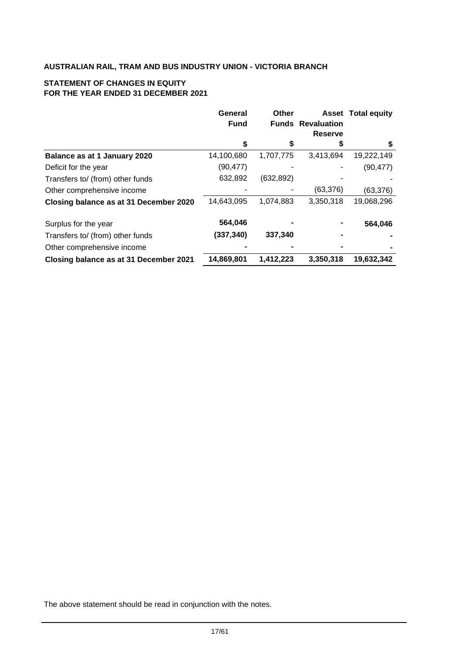# **STATEMENT OF CHANGES IN EQUITY FOR THE YEAR ENDED 31 DECEMBER 2021**

|                                        | General     | Other      |                          | <b>Asset Total equity</b> |
|----------------------------------------|-------------|------------|--------------------------|---------------------------|
|                                        | <b>Fund</b> |            | <b>Funds Revaluation</b> |                           |
|                                        |             |            | Reserve                  |                           |
|                                        | \$          | \$         | S                        | S                         |
| Balance as at 1 January 2020           | 14,100,680  | 1,707,775  | 3,413,694                | 19,222,149                |
| Deficit for the year                   | (90, 477)   |            |                          | (90, 477)                 |
| Transfers to/ (from) other funds       | 632,892     | (632, 892) |                          |                           |
| Other comprehensive income             |             |            | (63, 376)                | (63, 376)                 |
| Closing balance as at 31 December 2020 | 14,643,095  | 1,074,883  | 3,350,318                | 19,068,296                |
| Surplus for the year                   | 564,046     |            |                          | 564,046                   |
| Transfers to/ (from) other funds       | (337, 340)  | 337,340    |                          |                           |
| Other comprehensive income             |             |            |                          |                           |
| Closing balance as at 31 December 2021 | 14,869,801  | 1,412,223  | 3,350,318                | 19,632,342                |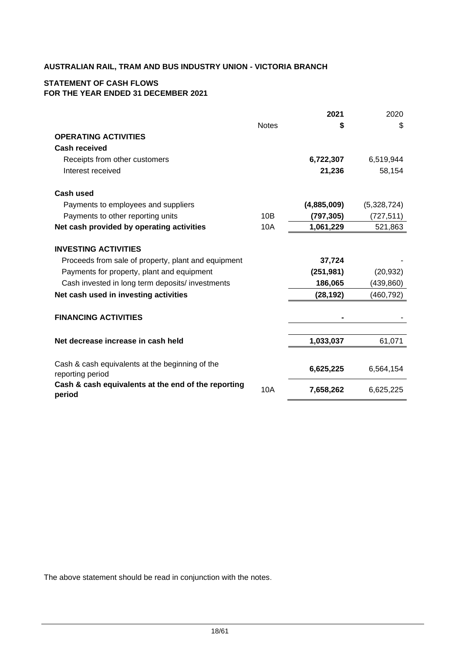## **STATEMENT OF CASH FLOWS FOR THE YEAR ENDED 31 DECEMBER 2021**

|                                                                                   |              | 2021        | 2020        |
|-----------------------------------------------------------------------------------|--------------|-------------|-------------|
|                                                                                   | <b>Notes</b> | S           | \$          |
| <b>OPERATING ACTIVITIES</b>                                                       |              |             |             |
| <b>Cash received</b>                                                              |              |             |             |
| Receipts from other customers                                                     |              | 6,722,307   | 6,519,944   |
| Interest received                                                                 |              | 21,236      | 58,154      |
| <b>Cash used</b>                                                                  |              |             |             |
| Payments to employees and suppliers                                               |              | (4,885,009) | (5,328,724) |
| Payments to other reporting units                                                 | 10B          | (797, 305)  | (727, 511)  |
| Net cash provided by operating activities                                         | 10A          | 1,061,229   | 521,863     |
| <b>INVESTING ACTIVITIES</b>                                                       |              |             |             |
| Proceeds from sale of property, plant and equipment                               |              | 37,724      |             |
| Payments for property, plant and equipment                                        |              | (251, 981)  | (20, 932)   |
| Cash invested in long term deposits/ investments                                  |              | 186,065     | (439, 860)  |
| Net cash used in investing activities                                             |              | (28, 192)   | (460, 792)  |
| <b>FINANCING ACTIVITIES</b>                                                       |              |             |             |
| Net decrease increase in cash held                                                |              | 1,033,037   | 61,071      |
| Cash & cash equivalents at the beginning of the                                   |              | 6,625,225   | 6,564,154   |
| reporting period<br>Cash & cash equivalents at the end of the reporting<br>period | 10A          | 7,658,262   | 6,625,225   |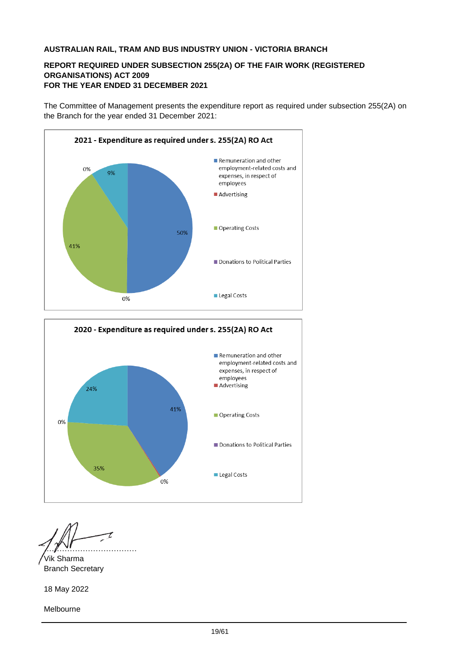## **REPORT REQUIRED UNDER SUBSECTION 255(2A) OF THE FAIR WORK (REGISTERED ORGANISATIONS) ACT 2009 FOR THE YEAR ENDED 31 DECEMBER 2021**

The Committee of Management presents the expenditure report as required under subsection 255(2A) on the Branch for the year ended 31 December 2021:



Vik Sharma Branch Secretary

18 May 2022

Melbourne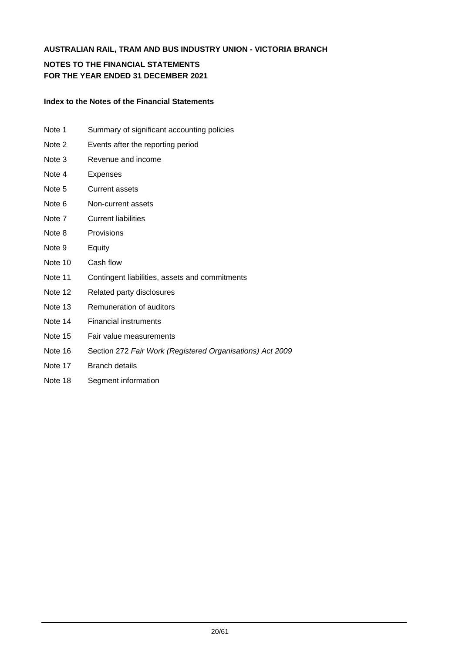# **NOTES TO THE FINANCIAL STATEMENTS FOR THE YEAR ENDED 31 DECEMBER 2021**

#### **Index to the Notes of the Financial Statements**

- Note 1 Summary of significant accounting policies
- Note 2 Events after the reporting period
- Note 3 Revenue and income
- Note 4 Expenses
- Note 5 Current assets
- Note 6 Non-current assets
- Note 7 Current liabilities
- Note 8 Provisions
- Note 9 Equity
- Note 10 Cash flow
- Note 11 Contingent liabilities, assets and commitments
- Note 12 Related party disclosures
- Note 13 Remuneration of auditors
- Note 14 Financial instruments
- Note 15 Fair value measurements
- Note 16 Section 272 *Fair Work (Registered Organisations) Act 2009*
- Note 17 Branch details
- Note 18 Segment information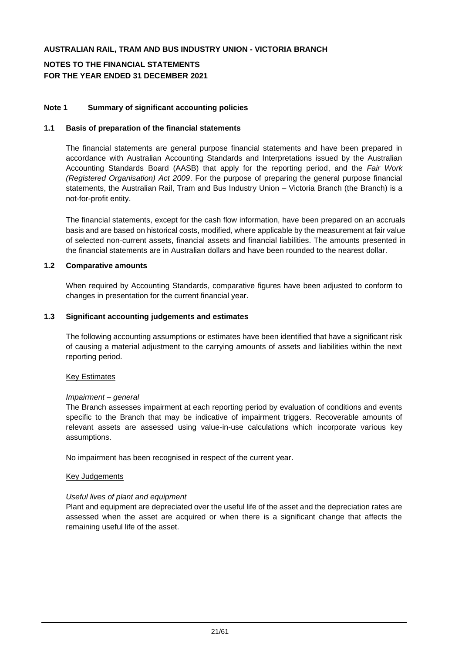# **NOTES TO THE FINANCIAL STATEMENTS FOR THE YEAR ENDED 31 DECEMBER 2021**

### **Note 1 Summary of significant accounting policies**

#### **1.1 Basis of preparation of the financial statements**

The financial statements are general purpose financial statements and have been prepared in accordance with Australian Accounting Standards and Interpretations issued by the Australian Accounting Standards Board (AASB) that apply for the reporting period, and the *Fair Work (Registered Organisation) Act 2009*. For the purpose of preparing the general purpose financial statements, the Australian Rail, Tram and Bus Industry Union – Victoria Branch (the Branch) is a not-for-profit entity.

The financial statements, except for the cash flow information, have been prepared on an accruals basis and are based on historical costs, modified, where applicable by the measurement at fair value of selected non-current assets, financial assets and financial liabilities. The amounts presented in the financial statements are in Australian dollars and have been rounded to the nearest dollar.

#### **1.2 Comparative amounts**

When required by Accounting Standards, comparative figures have been adjusted to conform to changes in presentation for the current financial year.

#### **1.3 Significant accounting judgements and estimates**

The following accounting assumptions or estimates have been identified that have a significant risk of causing a material adjustment to the carrying amounts of assets and liabilities within the next reporting period.

#### Key Estimates

#### *Impairment – general*

The Branch assesses impairment at each reporting period by evaluation of conditions and events specific to the Branch that may be indicative of impairment triggers. Recoverable amounts of relevant assets are assessed using value-in-use calculations which incorporate various key assumptions.

No impairment has been recognised in respect of the current year.

#### Key Judgements

#### *Useful lives of plant and equipment*

Plant and equipment are depreciated over the useful life of the asset and the depreciation rates are assessed when the asset are acquired or when there is a significant change that affects the remaining useful life of the asset.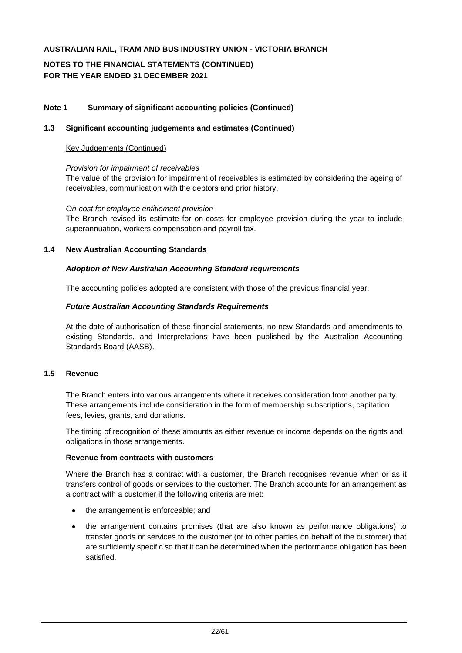# **NOTES TO THE FINANCIAL STATEMENTS (CONTINUED) FOR THE YEAR ENDED 31 DECEMBER 2021**

## **Note 1 Summary of significant accounting policies (Continued)**

#### **1.3 Significant accounting judgements and estimates (Continued)**

#### Key Judgements (Continued)

#### *Provision for impairment of receivables*

The value of the provision for impairment of receivables is estimated by considering the ageing of receivables, communication with the debtors and prior history.

#### *On-cost for employee entitlement provision*

The Branch revised its estimate for on-costs for employee provision during the year to include superannuation, workers compensation and payroll tax.

## **1.4 New Australian Accounting Standards**

#### *Adoption of New Australian Accounting Standard requirements*

The accounting policies adopted are consistent with those of the previous financial year.

#### *Future Australian Accounting Standards Requirements*

At the date of authorisation of these financial statements, no new Standards and amendments to existing Standards, and Interpretations have been published by the Australian Accounting Standards Board (AASB).

## **1.5 Revenue**

The Branch enters into various arrangements where it receives consideration from another party. These arrangements include consideration in the form of membership subscriptions, capitation fees, levies, grants, and donations.

The timing of recognition of these amounts as either revenue or income depends on the rights and obligations in those arrangements.

#### **Revenue from contracts with customers**

Where the Branch has a contract with a customer, the Branch recognises revenue when or as it transfers control of goods or services to the customer. The Branch accounts for an arrangement as a contract with a customer if the following criteria are met:

- the arrangement is enforceable; and
- the arrangement contains promises (that are also known as performance obligations) to transfer goods or services to the customer (or to other parties on behalf of the customer) that are sufficiently specific so that it can be determined when the performance obligation has been satisfied.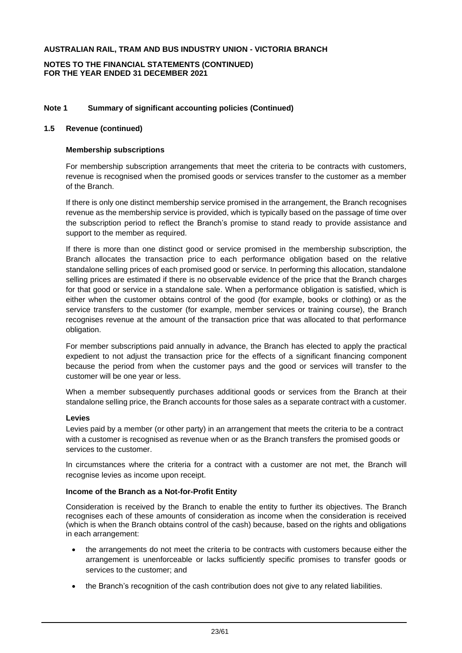#### **NOTES TO THE FINANCIAL STATEMENTS (CONTINUED) FOR THE YEAR ENDED 31 DECEMBER 2021**

### **Note 1 Summary of significant accounting policies (Continued)**

#### **1.5 Revenue (continued)**

#### **Membership subscriptions**

For membership subscription arrangements that meet the criteria to be contracts with customers, revenue is recognised when the promised goods or services transfer to the customer as a member of the Branch.

If there is only one distinct membership service promised in the arrangement, the Branch recognises revenue as the membership service is provided, which is typically based on the passage of time over the subscription period to reflect the Branch's promise to stand ready to provide assistance and support to the member as required.

If there is more than one distinct good or service promised in the membership subscription, the Branch allocates the transaction price to each performance obligation based on the relative standalone selling prices of each promised good or service. In performing this allocation, standalone selling prices are estimated if there is no observable evidence of the price that the Branch charges for that good or service in a standalone sale. When a performance obligation is satisfied, which is either when the customer obtains control of the good (for example, books or clothing) or as the service transfers to the customer (for example, member services or training course), the Branch recognises revenue at the amount of the transaction price that was allocated to that performance obligation.

For member subscriptions paid annually in advance, the Branch has elected to apply the practical expedient to not adjust the transaction price for the effects of a significant financing component because the period from when the customer pays and the good or services will transfer to the customer will be one year or less.

When a member subsequently purchases additional goods or services from the Branch at their standalone selling price, the Branch accounts for those sales as a separate contract with a customer.

#### **Levies**

Levies paid by a member (or other party) in an arrangement that meets the criteria to be a contract with a customer is recognised as revenue when or as the Branch transfers the promised goods or services to the customer.

In circumstances where the criteria for a contract with a customer are not met, the Branch will recognise levies as income upon receipt.

#### **Income of the Branch as a Not-for-Profit Entity**

Consideration is received by the Branch to enable the entity to further its objectives. The Branch recognises each of these amounts of consideration as income when the consideration is received (which is when the Branch obtains control of the cash) because, based on the rights and obligations in each arrangement:

- the arrangements do not meet the criteria to be contracts with customers because either the arrangement is unenforceable or lacks sufficiently specific promises to transfer goods or services to the customer; and
- the Branch's recognition of the cash contribution does not give to any related liabilities.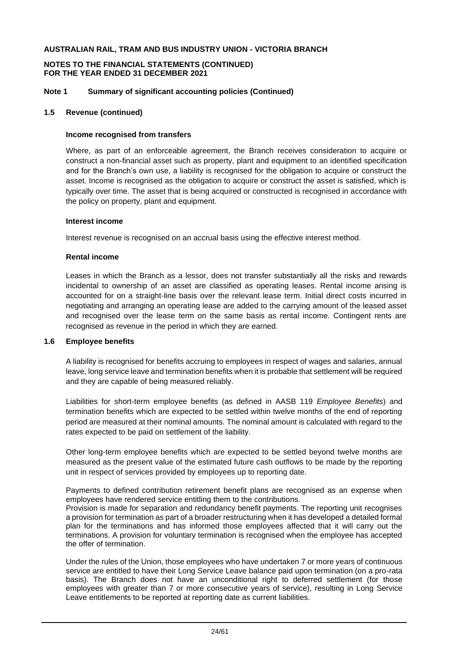#### **NOTES TO THE FINANCIAL STATEMENTS (CONTINUED) FOR THE YEAR ENDED 31 DECEMBER 2021**

#### **Note 1 Summary of significant accounting policies (Continued)**

#### **1.5 Revenue (continued)**

#### **Income recognised from transfers**

Where, as part of an enforceable agreement, the Branch receives consideration to acquire or construct a non-financial asset such as property, plant and equipment to an identified specification and for the Branch's own use, a liability is recognised for the obligation to acquire or construct the asset. Income is recognised as the obligation to acquire or construct the asset is satisfied, which is typically over time. The asset that is being acquired or constructed is recognised in accordance with the policy on property, plant and equipment.

#### **Interest income**

Interest revenue is recognised on an accrual basis using the effective interest method.

#### **Rental income**

Leases in which the Branch as a lessor, does not transfer substantially all the risks and rewards incidental to ownership of an asset are classified as operating leases. Rental income arising is accounted for on a straight-line basis over the relevant lease term. Initial direct costs incurred in negotiating and arranging an operating lease are added to the carrying amount of the leased asset and recognised over the lease term on the same basis as rental income. Contingent rents are recognised as revenue in the period in which they are earned.

#### **1.6 Employee benefits**

A liability is recognised for benefits accruing to employees in respect of wages and salaries, annual leave, long service leave and termination benefits when it is probable that settlement will be required and they are capable of being measured reliably.

Liabilities for short-term employee benefits (as defined in AASB 119 *Employee Benefits*) and termination benefits which are expected to be settled within twelve months of the end of reporting period are measured at their nominal amounts. The nominal amount is calculated with regard to the rates expected to be paid on settlement of the liability.

Other long-term employee benefits which are expected to be settled beyond twelve months are measured as the present value of the estimated future cash outflows to be made by the reporting unit in respect of services provided by employees up to reporting date.

Payments to defined contribution retirement benefit plans are recognised as an expense when employees have rendered service entitling them to the contributions.

Provision is made for separation and redundancy benefit payments. The reporting unit recognises a provision for termination as part of a broader restructuring when it has developed a detailed formal plan for the terminations and has informed those employees affected that it will carry out the terminations. A provision for voluntary termination is recognised when the employee has accepted the offer of termination.

Under the rules of the Union, those employees who have undertaken 7 or more years of continuous service are entitled to have their Long Service Leave balance paid upon termination (on a pro-rata basis). The Branch does not have an unconditional right to deferred settlement (for those employees with greater than 7 or more consecutive years of service), resulting in Long Service Leave entitlements to be reported at reporting date as current liabilities.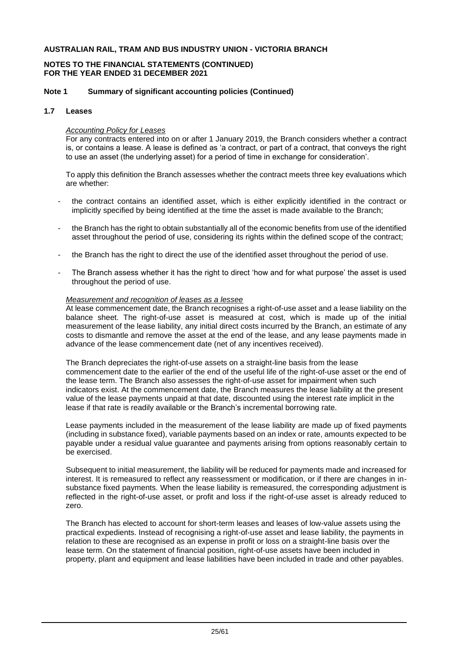#### **NOTES TO THE FINANCIAL STATEMENTS (CONTINUED) FOR THE YEAR ENDED 31 DECEMBER 2021**

#### **Note 1 Summary of significant accounting policies (Continued)**

#### **1.7 Leases**

#### *Accounting Policy for Leases*

For any contracts entered into on or after 1 January 2019, the Branch considers whether a contract is, or contains a lease. A lease is defined as 'a contract, or part of a contract, that conveys the right to use an asset (the underlying asset) for a period of time in exchange for consideration'.

To apply this definition the Branch assesses whether the contract meets three key evaluations which are whether:

- the contract contains an identified asset, which is either explicitly identified in the contract or implicitly specified by being identified at the time the asset is made available to the Branch;
- the Branch has the right to obtain substantially all of the economic benefits from use of the identified asset throughout the period of use, considering its rights within the defined scope of the contract;
- the Branch has the right to direct the use of the identified asset throughout the period of use.
- The Branch assess whether it has the right to direct 'how and for what purpose' the asset is used throughout the period of use.

#### *Measurement and recognition of leases as a lessee*

At lease commencement date, the Branch recognises a right-of-use asset and a lease liability on the balance sheet. The right-of-use asset is measured at cost, which is made up of the initial measurement of the lease liability, any initial direct costs incurred by the Branch, an estimate of any costs to dismantle and remove the asset at the end of the lease, and any lease payments made in advance of the lease commencement date (net of any incentives received).

The Branch depreciates the right-of-use assets on a straight-line basis from the lease commencement date to the earlier of the end of the useful life of the right-of-use asset or the end of the lease term. The Branch also assesses the right-of-use asset for impairment when such indicators exist. At the commencement date, the Branch measures the lease liability at the present value of the lease payments unpaid at that date, discounted using the interest rate implicit in the lease if that rate is readily available or the Branch's incremental borrowing rate.

Lease payments included in the measurement of the lease liability are made up of fixed payments (including in substance fixed), variable payments based on an index or rate, amounts expected to be payable under a residual value guarantee and payments arising from options reasonably certain to be exercised.

Subsequent to initial measurement, the liability will be reduced for payments made and increased for interest. It is remeasured to reflect any reassessment or modification, or if there are changes in insubstance fixed payments. When the lease liability is remeasured, the corresponding adjustment is reflected in the right-of-use asset, or profit and loss if the right-of-use asset is already reduced to zero.

The Branch has elected to account for short-term leases and leases of low-value assets using the practical expedients. Instead of recognising a right-of-use asset and lease liability, the payments in relation to these are recognised as an expense in profit or loss on a straight-line basis over the lease term. On the statement of financial position, right-of-use assets have been included in property, plant and equipment and lease liabilities have been included in trade and other payables.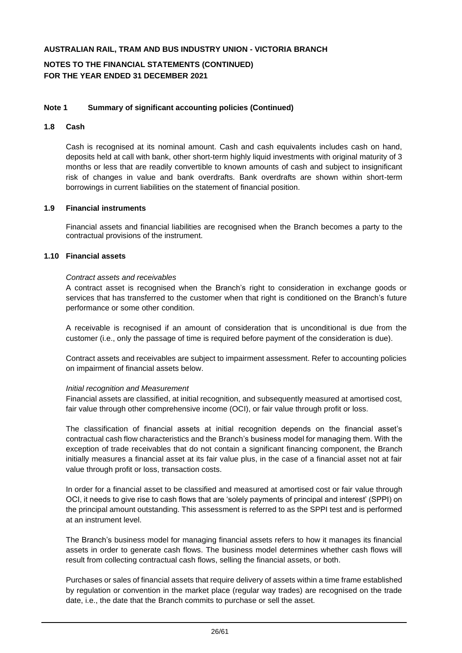# **NOTES TO THE FINANCIAL STATEMENTS (CONTINUED) FOR THE YEAR ENDED 31 DECEMBER 2021**

### **Note 1 Summary of significant accounting policies (Continued)**

### **1.8 Cash**

Cash is recognised at its nominal amount. Cash and cash equivalents includes cash on hand, deposits held at call with bank, other short-term highly liquid investments with original maturity of 3 months or less that are readily convertible to known amounts of cash and subject to insignificant risk of changes in value and bank overdrafts. Bank overdrafts are shown within short-term borrowings in current liabilities on the statement of financial position.

#### **1.9 Financial instruments**

Financial assets and financial liabilities are recognised when the Branch becomes a party to the contractual provisions of the instrument.

#### **1.10 Financial assets**

#### *Contract assets and receivables*

A contract asset is recognised when the Branch's right to consideration in exchange goods or services that has transferred to the customer when that right is conditioned on the Branch's future performance or some other condition.

A receivable is recognised if an amount of consideration that is unconditional is due from the customer (i.e., only the passage of time is required before payment of the consideration is due).

Contract assets and receivables are subject to impairment assessment. Refer to accounting policies on impairment of financial assets below.

#### *Initial recognition and Measurement*

Financial assets are classified, at initial recognition, and subsequently measured at amortised cost, fair value through other comprehensive income (OCI), or fair value through profit or loss.

The classification of financial assets at initial recognition depends on the financial asset's contractual cash flow characteristics and the Branch's business model for managing them. With the exception of trade receivables that do not contain a significant financing component, the Branch initially measures a financial asset at its fair value plus, in the case of a financial asset not at fair value through profit or loss, transaction costs.

In order for a financial asset to be classified and measured at amortised cost or fair value through OCI, it needs to give rise to cash flows that are 'solely payments of principal and interest' (SPPI) on the principal amount outstanding. This assessment is referred to as the SPPI test and is performed at an instrument level.

The Branch's business model for managing financial assets refers to how it manages its financial assets in order to generate cash flows. The business model determines whether cash flows will result from collecting contractual cash flows, selling the financial assets, or both.

Purchases or sales of financial assets that require delivery of assets within a time frame established by regulation or convention in the market place (regular way trades) are recognised on the trade date, i.e., the date that the Branch commits to purchase or sell the asset.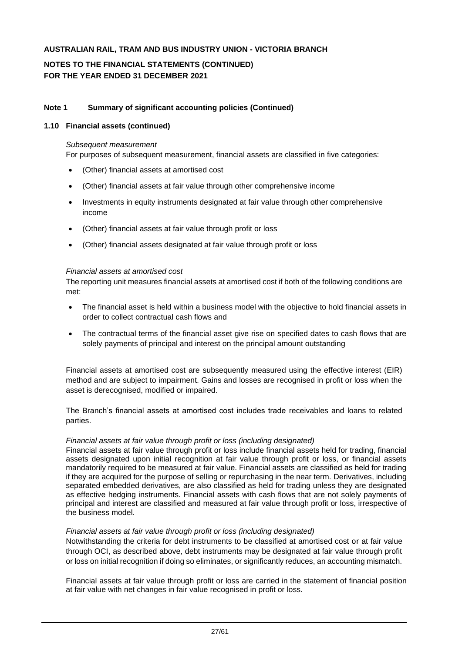# **NOTES TO THE FINANCIAL STATEMENTS (CONTINUED) FOR THE YEAR ENDED 31 DECEMBER 2021**

### **Note 1 Summary of significant accounting policies (Continued)**

#### **1.10 Financial assets (continued)**

#### *Subsequent measurement*

For purposes of subsequent measurement, financial assets are classified in five categories:

- (Other) financial assets at amortised cost
- (Other) financial assets at fair value through other comprehensive income
- Investments in equity instruments designated at fair value through other comprehensive income
- (Other) financial assets at fair value through profit or loss
- (Other) financial assets designated at fair value through profit or loss

#### *Financial assets at amortised cost*

The reporting unit measures financial assets at amortised cost if both of the following conditions are met:

- The financial asset is held within a business model with the objective to hold financial assets in order to collect contractual cash flows and
- The contractual terms of the financial asset give rise on specified dates to cash flows that are solely payments of principal and interest on the principal amount outstanding

Financial assets at amortised cost are subsequently measured using the effective interest (EIR) method and are subject to impairment. Gains and losses are recognised in profit or loss when the asset is derecognised, modified or impaired.

The Branch's financial assets at amortised cost includes trade receivables and loans to related parties.

#### *Financial assets at fair value through profit or loss (including designated)*

Financial assets at fair value through profit or loss include financial assets held for trading, financial assets designated upon initial recognition at fair value through profit or loss, or financial assets mandatorily required to be measured at fair value. Financial assets are classified as held for trading if they are acquired for the purpose of selling or repurchasing in the near term. Derivatives, including separated embedded derivatives, are also classified as held for trading unless they are designated as effective hedging instruments. Financial assets with cash flows that are not solely payments of principal and interest are classified and measured at fair value through profit or loss, irrespective of the business model.

#### *Financial assets at fair value through profit or loss (including designated)*

Notwithstanding the criteria for debt instruments to be classified at amortised cost or at fair value through OCI, as described above, debt instruments may be designated at fair value through profit or loss on initial recognition if doing so eliminates, or significantly reduces, an accounting mismatch.

Financial assets at fair value through profit or loss are carried in the statement of financial position at fair value with net changes in fair value recognised in profit or loss.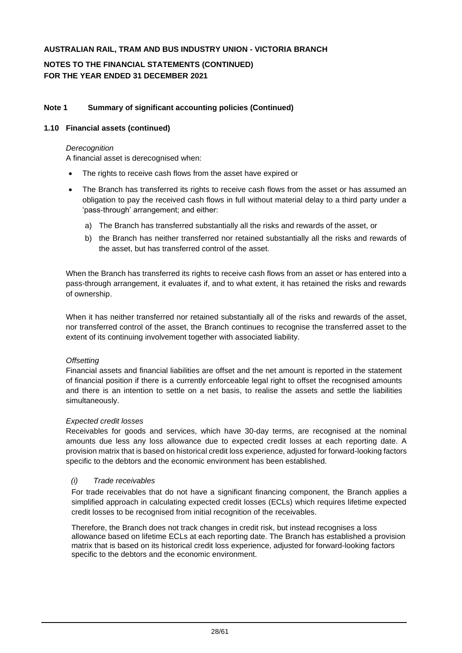# **NOTES TO THE FINANCIAL STATEMENTS (CONTINUED) FOR THE YEAR ENDED 31 DECEMBER 2021**

### **Note 1 Summary of significant accounting policies (Continued)**

#### **1.10 Financial assets (continued)**

#### *Derecognition*

A financial asset is derecognised when:

- The rights to receive cash flows from the asset have expired or
- The Branch has transferred its rights to receive cash flows from the asset or has assumed an obligation to pay the received cash flows in full without material delay to a third party under a 'pass-through' arrangement; and either:
	- a) The Branch has transferred substantially all the risks and rewards of the asset, or
	- b) the Branch has neither transferred nor retained substantially all the risks and rewards of the asset, but has transferred control of the asset.

When the Branch has transferred its rights to receive cash flows from an asset or has entered into a pass-through arrangement, it evaluates if, and to what extent, it has retained the risks and rewards of ownership.

When it has neither transferred nor retained substantially all of the risks and rewards of the asset, nor transferred control of the asset, the Branch continues to recognise the transferred asset to the extent of its continuing involvement together with associated liability.

#### *Offsetting*

Financial assets and financial liabilities are offset and the net amount is reported in the statement of financial position if there is a currently enforceable legal right to offset the recognised amounts and there is an intention to settle on a net basis, to realise the assets and settle the liabilities simultaneously.

#### *Expected credit losses*

Receivables for goods and services, which have 30-day terms, are recognised at the nominal amounts due less any loss allowance due to expected credit losses at each reporting date. A provision matrix that is based on historical credit loss experience, adjusted for forward-looking factors specific to the debtors and the economic environment has been established.

#### *(i) Trade receivables*

For trade receivables that do not have a significant financing component, the Branch applies a simplified approach in calculating expected credit losses (ECLs) which requires lifetime expected credit losses to be recognised from initial recognition of the receivables.

Therefore, the Branch does not track changes in credit risk, but instead recognises a loss allowance based on lifetime ECLs at each reporting date. The Branch has established a provision matrix that is based on its historical credit loss experience, adjusted for forward-looking factors specific to the debtors and the economic environment.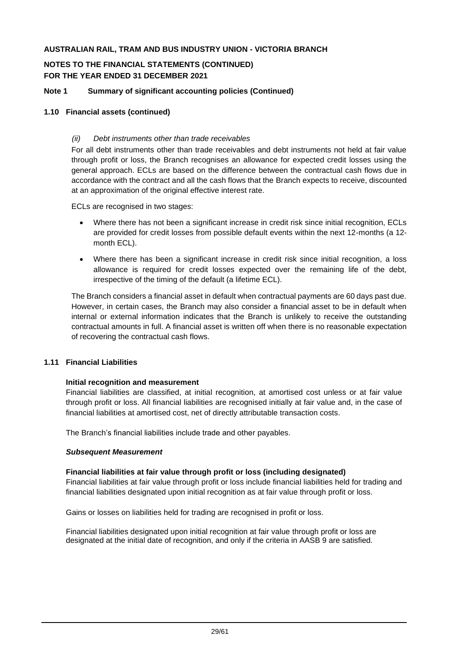# **NOTES TO THE FINANCIAL STATEMENTS (CONTINUED) FOR THE YEAR ENDED 31 DECEMBER 2021**

## **Note 1 Summary of significant accounting policies (Continued)**

#### **1.10 Financial assets (continued)**

#### *(ii) Debt instruments other than trade receivables*

For all debt instruments other than trade receivables and debt instruments not held at fair value through profit or loss, the Branch recognises an allowance for expected credit losses using the general approach. ECLs are based on the difference between the contractual cash flows due in accordance with the contract and all the cash flows that the Branch expects to receive, discounted at an approximation of the original effective interest rate.

ECLs are recognised in two stages:

- Where there has not been a significant increase in credit risk since initial recognition, ECLs are provided for credit losses from possible default events within the next 12-months (a 12 month ECL).
- Where there has been a significant increase in credit risk since initial recognition, a loss allowance is required for credit losses expected over the remaining life of the debt, irrespective of the timing of the default (a lifetime ECL).

The Branch considers a financial asset in default when contractual payments are 60 days past due. However, in certain cases, the Branch may also consider a financial asset to be in default when internal or external information indicates that the Branch is unlikely to receive the outstanding contractual amounts in full. A financial asset is written off when there is no reasonable expectation of recovering the contractual cash flows.

#### **1.11 Financial Liabilities**

#### **Initial recognition and measurement**

Financial liabilities are classified, at initial recognition, at amortised cost unless or at fair value through profit or loss. All financial liabilities are recognised initially at fair value and, in the case of financial liabilities at amortised cost, net of directly attributable transaction costs.

The Branch's financial liabilities include trade and other payables.

#### *Subsequent Measurement*

#### **Financial liabilities at fair value through profit or loss (including designated)**

Financial liabilities at fair value through profit or loss include financial liabilities held for trading and financial liabilities designated upon initial recognition as at fair value through profit or loss.

Gains or losses on liabilities held for trading are recognised in profit or loss.

Financial liabilities designated upon initial recognition at fair value through profit or loss are designated at the initial date of recognition, and only if the criteria in AASB 9 are satisfied.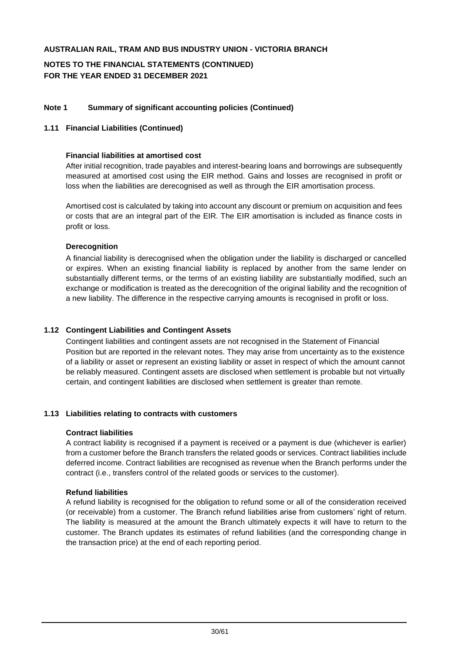# **NOTES TO THE FINANCIAL STATEMENTS (CONTINUED) FOR THE YEAR ENDED 31 DECEMBER 2021**

## **Note 1 Summary of significant accounting policies (Continued)**

#### **1.11 Financial Liabilities (Continued)**

#### **Financial liabilities at amortised cost**

After initial recognition, trade payables and interest-bearing loans and borrowings are subsequently measured at amortised cost using the EIR method. Gains and losses are recognised in profit or loss when the liabilities are derecognised as well as through the EIR amortisation process.

Amortised cost is calculated by taking into account any discount or premium on acquisition and fees or costs that are an integral part of the EIR. The EIR amortisation is included as finance costs in profit or loss.

#### **Derecognition**

A financial liability is derecognised when the obligation under the liability is discharged or cancelled or expires. When an existing financial liability is replaced by another from the same lender on substantially different terms, or the terms of an existing liability are substantially modified, such an exchange or modification is treated as the derecognition of the original liability and the recognition of a new liability. The difference in the respective carrying amounts is recognised in profit or loss.

#### **1.12 Contingent Liabilities and Contingent Assets**

Contingent liabilities and contingent assets are not recognised in the Statement of Financial Position but are reported in the relevant notes. They may arise from uncertainty as to the existence of a liability or asset or represent an existing liability or asset in respect of which the amount cannot be reliably measured. Contingent assets are disclosed when settlement is probable but not virtually certain, and contingent liabilities are disclosed when settlement is greater than remote.

#### **1.13 Liabilities relating to contracts with customers**

#### **Contract liabilities**

A contract liability is recognised if a payment is received or a payment is due (whichever is earlier) from a customer before the Branch transfers the related goods or services. Contract liabilities include deferred income. Contract liabilities are recognised as revenue when the Branch performs under the contract (i.e., transfers control of the related goods or services to the customer).

#### **Refund liabilities**

A refund liability is recognised for the obligation to refund some or all of the consideration received (or receivable) from a customer. The Branch refund liabilities arise from customers' right of return. The liability is measured at the amount the Branch ultimately expects it will have to return to the customer. The Branch updates its estimates of refund liabilities (and the corresponding change in the transaction price) at the end of each reporting period.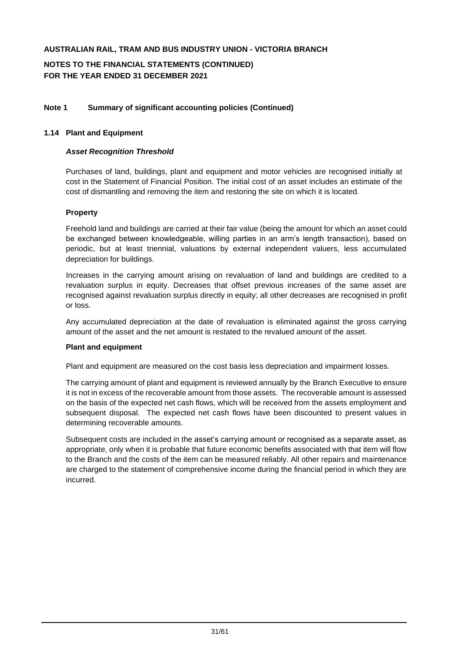**NOTES TO THE FINANCIAL STATEMENTS (CONTINUED) FOR THE YEAR ENDED 31 DECEMBER 2021**

### **Note 1 Summary of significant accounting policies (Continued)**

#### **1.14 Plant and Equipment**

### *Asset Recognition Threshold*

Purchases of land, buildings, plant and equipment and motor vehicles are recognised initially at cost in the Statement of Financial Position. The initial cost of an asset includes an estimate of the cost of dismantling and removing the item and restoring the site on which it is located.

#### *39B***Property**

Freehold land and buildings are carried at their fair value (being the amount for which an asset could be exchanged between knowledgeable, willing parties in an arm's length transaction), based on periodic, but at least triennial, valuations by external independent valuers, less accumulated depreciation for buildings.

Increases in the carrying amount arising on revaluation of land and buildings are credited to a revaluation surplus in equity. Decreases that offset previous increases of the same asset are recognised against revaluation surplus directly in equity; all other decreases are recognised in profit or loss.

Any accumulated depreciation at the date of revaluation is eliminated against the gross carrying amount of the asset and the net amount is restated to the revalued amount of the asset.

#### **Plant and equipment**

Plant and equipment are measured on the cost basis less depreciation and impairment losses.

The carrying amount of plant and equipment is reviewed annually by the Branch Executive to ensure it is not in excess of the recoverable amount from those assets. The recoverable amount is assessed on the basis of the expected net cash flows, which will be received from the assets employment and subsequent disposal. The expected net cash flows have been discounted to present values in determining recoverable amounts.

Subsequent costs are included in the asset's carrying amount or recognised as a separate asset, as appropriate, only when it is probable that future economic benefits associated with that item will flow to the Branch and the costs of the item can be measured reliably. All other repairs and maintenance are charged to the statement of comprehensive income during the financial period in which they are incurred.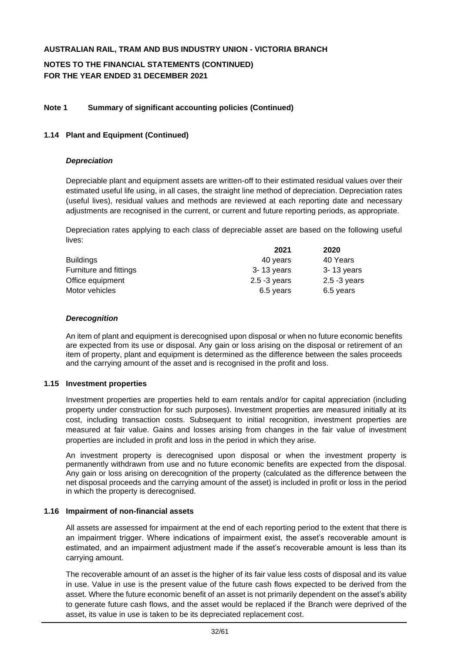# **NOTES TO THE FINANCIAL STATEMENTS (CONTINUED) FOR THE YEAR ENDED 31 DECEMBER 2021**

## **Note 1 Summary of significant accounting policies (Continued)**

#### **1.14 Plant and Equipment (Continued)**

#### *Depreciation*

Depreciable plant and equipment assets are written-off to their estimated residual values over their estimated useful life using, in all cases, the straight line method of depreciation. Depreciation rates (useful lives), residual values and methods are reviewed at each reporting date and necessary adjustments are recognised in the current, or current and future reporting periods, as appropriate.

Depreciation rates applying to each class of depreciable asset are based on the following useful lives:

| 2021            | 2020            |
|-----------------|-----------------|
| 40 years        | 40 Years        |
| 3-13 years      | $3 - 13$ years  |
| $2.5 - 3$ years | $2.5 - 3$ years |
| 6.5 years       | 6.5 years       |
|                 |                 |

#### *Derecognition*

An item of plant and equipment is derecognised upon disposal or when no future economic benefits are expected from its use or disposal. Any gain or loss arising on the disposal or retirement of an item of property, plant and equipment is determined as the difference between the sales proceeds and the carrying amount of the asset and is recognised in the profit and loss.

#### **1.15 Investment properties**

Investment properties are properties held to earn rentals and/or for capital appreciation (including property under construction for such purposes). Investment properties are measured initially at its cost, including transaction costs. Subsequent to initial recognition, investment properties are measured at fair value. Gains and losses arising from changes in the fair value of investment properties are included in profit and loss in the period in which they arise.

An investment property is derecognised upon disposal or when the investment property is permanently withdrawn from use and no future economic benefits are expected from the disposal. Any gain or loss arising on derecognition of the property (calculated as the difference between the net disposal proceeds and the carrying amount of the asset) is included in profit or loss in the period in which the property is derecognised.

#### **1.16 Impairment of non-financial assets**

All assets are assessed for impairment at the end of each reporting period to the extent that there is an impairment trigger. Where indications of impairment exist, the asset's recoverable amount is estimated, and an impairment adjustment made if the asset's recoverable amount is less than its carrying amount.

The recoverable amount of an asset is the higher of its fair value less costs of disposal and its value in use. Value in use is the present value of the future cash flows expected to be derived from the asset. Where the future economic benefit of an asset is not primarily dependent on the asset's ability to generate future cash flows, and the asset would be replaced if the Branch were deprived of the asset, its value in use is taken to be its depreciated replacement cost.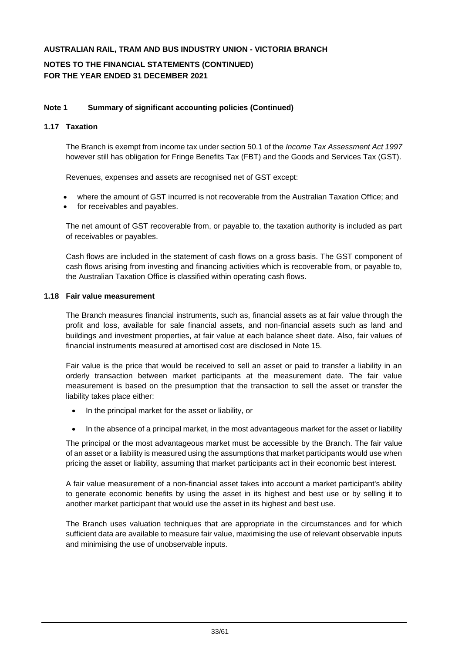# **NOTES TO THE FINANCIAL STATEMENTS (CONTINUED) FOR THE YEAR ENDED 31 DECEMBER 2021**

### **Note 1 Summary of significant accounting policies (Continued)**

## **1.17 Taxation**

The Branch is exempt from income tax under section 50.1 of the *Income Tax Assessment Act 1997* however still has obligation for Fringe Benefits Tax (FBT) and the Goods and Services Tax (GST).

Revenues, expenses and assets are recognised net of GST except:

- where the amount of GST incurred is not recoverable from the Australian Taxation Office; and
- for receivables and payables.

The net amount of GST recoverable from, or payable to, the taxation authority is included as part of receivables or payables.

Cash flows are included in the statement of cash flows on a gross basis. The GST component of cash flows arising from investing and financing activities which is recoverable from, or payable to, the Australian Taxation Office is classified within operating cash flows.

#### **1.18 Fair value measurement**

The Branch measures financial instruments, such as, financial assets as at fair value through the profit and loss, available for sale financial assets, and non-financial assets such as land and buildings and investment properties, at fair value at each balance sheet date. Also, fair values of financial instruments measured at amortised cost are disclosed in Note 15.

Fair value is the price that would be received to sell an asset or paid to transfer a liability in an orderly transaction between market participants at the measurement date. The fair value measurement is based on the presumption that the transaction to sell the asset or transfer the liability takes place either:

- In the principal market for the asset or liability, or
- In the absence of a principal market, in the most advantageous market for the asset or liability

The principal or the most advantageous market must be accessible by the Branch. The fair value of an asset or a liability is measured using the assumptions that market participants would use when pricing the asset or liability, assuming that market participants act in their economic best interest.

A fair value measurement of a non-financial asset takes into account a market participant's ability to generate economic benefits by using the asset in its highest and best use or by selling it to another market participant that would use the asset in its highest and best use.

The Branch uses valuation techniques that are appropriate in the circumstances and for which sufficient data are available to measure fair value, maximising the use of relevant observable inputs and minimising the use of unobservable inputs.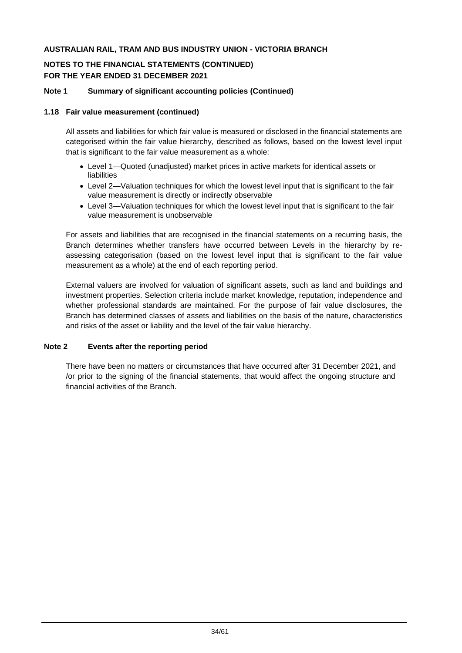# **NOTES TO THE FINANCIAL STATEMENTS (CONTINUED) FOR THE YEAR ENDED 31 DECEMBER 2021**

### **Note 1 Summary of significant accounting policies (Continued)**

#### **1.18 Fair value measurement (continued)**

All assets and liabilities for which fair value is measured or disclosed in the financial statements are categorised within the fair value hierarchy, described as follows, based on the lowest level input that is significant to the fair value measurement as a whole:

- Level 1—Quoted (unadjusted) market prices in active markets for identical assets or liabilities
- Level 2—Valuation techniques for which the lowest level input that is significant to the fair value measurement is directly or indirectly observable
- Level 3—Valuation techniques for which the lowest level input that is significant to the fair value measurement is unobservable

For assets and liabilities that are recognised in the financial statements on a recurring basis, the Branch determines whether transfers have occurred between Levels in the hierarchy by reassessing categorisation (based on the lowest level input that is significant to the fair value measurement as a whole) at the end of each reporting period.

External valuers are involved for valuation of significant assets, such as land and buildings and investment properties. Selection criteria include market knowledge, reputation, independence and whether professional standards are maintained. For the purpose of fair value disclosures, the Branch has determined classes of assets and liabilities on the basis of the nature, characteristics and risks of the asset or liability and the level of the fair value hierarchy.

#### **Note 2 Events after the reporting period**

There have been no matters or circumstances that have occurred after 31 December 2021, and /or prior to the signing of the financial statements, that would affect the ongoing structure and financial activities of the Branch.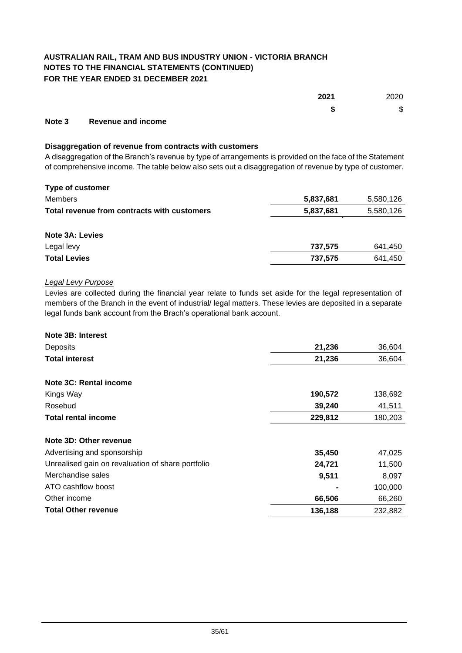# **AUSTRALIAN RAIL, TRAM AND BUS INDUSTRY UNION - VICTORIA BRANCH NOTES TO THE FINANCIAL STATEMENTS (CONTINUED) FOR THE YEAR ENDED 31 DECEMBER 2021**

|        |                                                                                                                                                                                                                                      | 2021   | 2020           |
|--------|--------------------------------------------------------------------------------------------------------------------------------------------------------------------------------------------------------------------------------------|--------|----------------|
|        |                                                                                                                                                                                                                                      | œ<br>Ð | $\mathfrak{S}$ |
| $\sim$ | <b>Production of the contract of the second contract of the contract of the contract of the contract of the contract of the contract of the contract of the contract of the contract of the contract of the contract of the cont</b> |        |                |

#### **Note 3 Revenue and income**

#### **Disaggregation of revenue from contracts with customers**

A disaggregation of the Branch's revenue by type of arrangements is provided on the face of the Statement of comprehensive income. The table below also sets out a disaggregation of revenue by type of customer.

| <b>Type of customer</b>                     |           |           |
|---------------------------------------------|-----------|-----------|
| <b>Members</b>                              | 5,837,681 | 5,580,126 |
| Total revenue from contracts with customers | 5,837,681 | 5,580,126 |
| <b>Note 3A: Levies</b>                      |           |           |
| Legal levy                                  | 737.575   | 641,450   |
| <b>Total Levies</b>                         | 737.575   | 641.450   |

### *Legal Levy Purpose*

Levies are collected during the financial year relate to funds set aside for the legal representation of members of the Branch in the event of industrial/ legal matters. These levies are deposited in a separate legal funds bank account from the Brach's operational bank account.

| Note 3B: Interest                                 |         |         |
|---------------------------------------------------|---------|---------|
| Deposits                                          | 21,236  | 36,604  |
| <b>Total interest</b>                             | 21,236  | 36,604  |
| Note 3C: Rental income                            |         |         |
| Kings Way                                         | 190,572 | 138,692 |
| Rosebud                                           | 39,240  | 41,511  |
| <b>Total rental income</b>                        | 229,812 | 180,203 |
| Note 3D: Other revenue                            |         |         |
| Advertising and sponsorship                       | 35,450  | 47,025  |
| Unrealised gain on revaluation of share portfolio | 24,721  | 11,500  |
| Merchandise sales                                 | 9,511   | 8,097   |
| ATO cashflow boost                                |         | 100,000 |
| Other income                                      | 66,506  | 66,260  |
| <b>Total Other revenue</b>                        | 136,188 | 232,882 |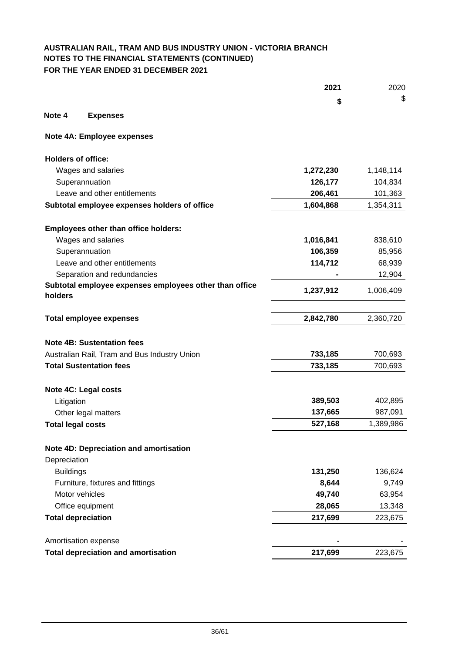# **AUSTRALIAN RAIL, TRAM AND BUS INDUSTRY UNION - VICTORIA BRANCH NOTES TO THE FINANCIAL STATEMENTS (CONTINUED) FOR THE YEAR ENDED 31 DECEMBER 2021**

|                           |                                                        | 2021      | 2020      |
|---------------------------|--------------------------------------------------------|-----------|-----------|
|                           |                                                        | \$        | \$        |
| Note 4                    | <b>Expenses</b>                                        |           |           |
|                           | Note 4A: Employee expenses                             |           |           |
| <b>Holders of office:</b> |                                                        |           |           |
|                           | Wages and salaries                                     | 1,272,230 | 1,148,114 |
|                           | Superannuation                                         | 126,177   | 104,834   |
|                           | Leave and other entitlements                           | 206,461   | 101,363   |
|                           | Subtotal employee expenses holders of office           | 1,604,868 | 1,354,311 |
|                           | <b>Employees other than office holders:</b>            |           |           |
|                           | Wages and salaries                                     | 1,016,841 | 838,610   |
|                           | Superannuation                                         | 106,359   | 85,956    |
|                           | Leave and other entitlements                           | 114,712   | 68,939    |
|                           | Separation and redundancies                            |           | 12,904    |
| holders                   | Subtotal employee expenses employees other than office | 1,237,912 | 1,006,409 |
|                           | <b>Total employee expenses</b>                         | 2,842,780 | 2,360,720 |
|                           | <b>Note 4B: Sustentation fees</b>                      |           |           |
|                           | Australian Rail, Tram and Bus Industry Union           | 733,185   | 700,693   |
|                           | <b>Total Sustentation fees</b>                         | 733,185   | 700,693   |
|                           | Note 4C: Legal costs                                   |           |           |
| Litigation                |                                                        | 389,503   | 402,895   |
|                           | Other legal matters                                    | 137,665   | 987,091   |
| <b>Total legal costs</b>  |                                                        | 527,168   | 1,389,986 |
|                           | Note 4D: Depreciation and amortisation                 |           |           |
| Depreciation              |                                                        |           |           |
| <b>Buildings</b>          |                                                        | 131,250   | 136,624   |
|                           | Furniture, fixtures and fittings                       | 8,644     | 9,749     |
|                           | Motor vehicles                                         | 49,740    | 63,954    |
|                           | Office equipment                                       | 28,065    | 13,348    |
|                           | <b>Total depreciation</b>                              | 217,699   | 223,675   |
|                           | Amortisation expense                                   |           |           |
|                           | <b>Total depreciation and amortisation</b>             | 217,699   | 223,675   |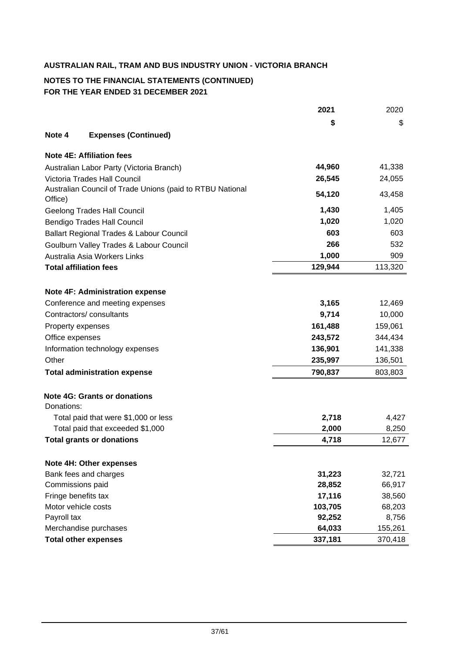# **NOTES TO THE FINANCIAL STATEMENTS (CONTINUED) FOR THE YEAR ENDED 31 DECEMBER 2021**

|                     |                                                           | 2021    | 2020    |
|---------------------|-----------------------------------------------------------|---------|---------|
|                     |                                                           | \$      | \$      |
| Note 4              | <b>Expenses (Continued)</b>                               |         |         |
|                     | <b>Note 4E: Affiliation fees</b>                          |         |         |
|                     | Australian Labor Party (Victoria Branch)                  | 44,960  | 41,338  |
|                     | Victoria Trades Hall Council                              | 26,545  | 24,055  |
| Office)             | Australian Council of Trade Unions (paid to RTBU National | 54,120  | 43,458  |
|                     | <b>Geelong Trades Hall Council</b>                        | 1,430   | 1,405   |
|                     | <b>Bendigo Trades Hall Council</b>                        | 1,020   | 1,020   |
|                     | Ballart Regional Trades & Labour Council                  | 603     | 603     |
|                     | Goulburn Valley Trades & Labour Council                   | 266     | 532     |
|                     | Australia Asia Workers Links                              | 1,000   | 909     |
|                     | <b>Total affiliation fees</b>                             | 129,944 | 113,320 |
|                     |                                                           |         |         |
|                     | <b>Note 4F: Administration expense</b>                    |         |         |
|                     | Conference and meeting expenses                           | 3,165   | 12,469  |
|                     | Contractors/consultants                                   | 9,714   | 10,000  |
| Property expenses   |                                                           | 161,488 | 159,061 |
| Office expenses     |                                                           | 243,572 | 344,434 |
|                     | Information technology expenses                           | 136,901 | 141,338 |
| Other               |                                                           | 235,997 | 136,501 |
|                     | <b>Total administration expense</b>                       | 790,837 | 803,803 |
|                     | <b>Note 4G: Grants or donations</b>                       |         |         |
| Donations:          |                                                           |         |         |
|                     | Total paid that were \$1,000 or less                      | 2,718   | 4,427   |
|                     | Total paid that exceeded \$1,000                          | 2,000   | 8,250   |
|                     | <b>Total grants or donations</b>                          | 4,718   | 12,677  |
|                     | Note 4H: Other expenses                                   |         |         |
|                     | Bank fees and charges                                     | 31,223  | 32,721  |
| Commissions paid    |                                                           | 28,852  | 66,917  |
| Fringe benefits tax |                                                           | 17,116  | 38,560  |
| Motor vehicle costs |                                                           | 103,705 | 68,203  |
| Payroll tax         |                                                           | 92,252  | 8,756   |
|                     | Merchandise purchases                                     | 64,033  | 155,261 |
|                     | <b>Total other expenses</b>                               | 337,181 | 370,418 |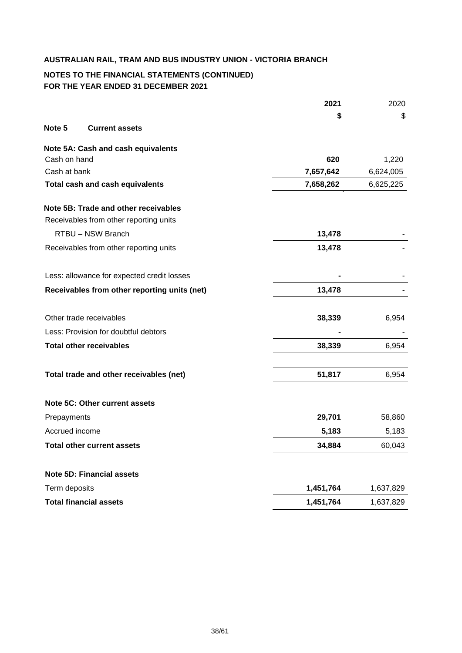# **NOTES TO THE FINANCIAL STATEMENTS (CONTINUED) FOR THE YEAR ENDED 31 DECEMBER 2021**

|                |                                              | 2021      | 2020      |
|----------------|----------------------------------------------|-----------|-----------|
|                |                                              | \$        | S         |
| Note 5         | <b>Current assets</b>                        |           |           |
|                | Note 5A: Cash and cash equivalents           |           |           |
| Cash on hand   |                                              | 620       | 1,220     |
| Cash at bank   |                                              | 7,657,642 | 6,624,005 |
|                | <b>Total cash and cash equivalents</b>       | 7,658,262 | 6,625,225 |
|                | Note 5B: Trade and other receivables         |           |           |
|                | Receivables from other reporting units       |           |           |
|                | RTBU - NSW Branch                            | 13,478    |           |
|                | Receivables from other reporting units       | 13,478    |           |
|                | Less: allowance for expected credit losses   |           |           |
|                | Receivables from other reporting units (net) | 13,478    |           |
|                | Other trade receivables                      | 38,339    | 6,954     |
|                | Less: Provision for doubtful debtors         |           |           |
|                | <b>Total other receivables</b>               | 38,339    | 6,954     |
|                | Total trade and other receivables (net)      | 51,817    | 6,954     |
|                |                                              |           |           |
|                | Note 5C: Other current assets                |           |           |
| Prepayments    |                                              | 29,701    | 58,860    |
| Accrued income |                                              | 5,183     | 5,183     |
|                | <b>Total other current assets</b>            | 34,884    | 60,043    |
|                | <b>Note 5D: Financial assets</b>             |           |           |
| Term deposits  |                                              | 1,451,764 | 1,637,829 |
|                | <b>Total financial assets</b>                | 1,451,764 | 1,637,829 |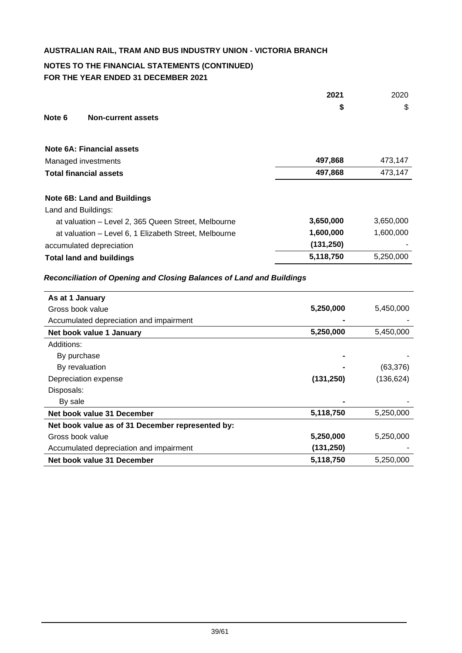# **NOTES TO THE FINANCIAL STATEMENTS (CONTINUED) FOR THE YEAR ENDED 31 DECEMBER 2021**

|                                                       | 2021       | 2020      |
|-------------------------------------------------------|------------|-----------|
|                                                       | \$         | \$        |
| Note 6<br><b>Non-current assets</b>                   |            |           |
| Note 6A: Financial assets                             |            |           |
| Managed investments                                   | 497,868    | 473,147   |
| <b>Total financial assets</b>                         | 497,868    | 473,147   |
|                                                       |            |           |
| <b>Note 6B: Land and Buildings</b>                    |            |           |
| Land and Buildings:                                   |            |           |
| at valuation - Level 2, 365 Queen Street, Melbourne   | 3,650,000  | 3,650,000 |
| at valuation - Level 6, 1 Elizabeth Street, Melbourne | 1,600,000  | 1,600,000 |
| accumulated depreciation                              | (131, 250) |           |
| <b>Total land and buildings</b>                       | 5,118,750  | 5,250,000 |
|                                                       |            |           |

# *Reconciliation of Opening and Closing Balances of Land and Buildings*

| As at 1 January                                  |            |            |
|--------------------------------------------------|------------|------------|
| Gross book value                                 | 5,250,000  | 5,450,000  |
| Accumulated depreciation and impairment          |            |            |
| Net book value 1 January                         | 5,250,000  | 5,450,000  |
| Additions:                                       |            |            |
| By purchase                                      |            |            |
| By revaluation                                   |            | (63, 376)  |
| Depreciation expense                             | (131, 250) | (136, 624) |
| Disposals:                                       |            |            |
| By sale                                          |            |            |
| Net book value 31 December                       | 5,118,750  | 5,250,000  |
| Net book value as of 31 December represented by: |            |            |
| Gross book value                                 | 5,250,000  | 5,250,000  |
| Accumulated depreciation and impairment          | (131, 250) |            |
| Net book value 31 December                       | 5,118,750  | 5,250,000  |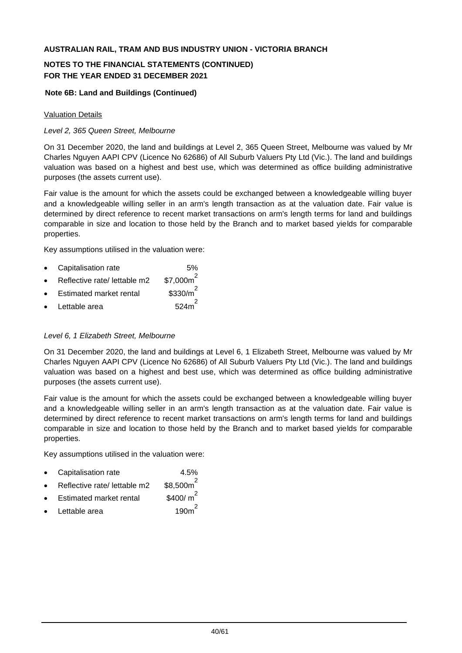# **NOTES TO THE FINANCIAL STATEMENTS (CONTINUED) FOR THE YEAR ENDED 31 DECEMBER 2021**

## **Note 6B: Land and Buildings (Continued)**

### Valuation Details

## *Level 2, 365 Queen Street, Melbourne*

On 31 December 2020, the land and buildings at Level 2, 365 Queen Street, Melbourne was valued by Mr Charles Nguyen AAPI CPV (Licence No 62686) of All Suburb Valuers Pty Ltd (Vic.). The land and buildings valuation was based on a highest and best use, which was determined as office building administrative purposes (the assets current use).

Fair value is the amount for which the assets could be exchanged between a knowledgeable willing buyer and a knowledgeable willing seller in an arm's length transaction as at the valuation date. Fair value is determined by direct reference to recent market transactions on arm's length terms for land and buildings comparable in size and location to those held by the Branch and to market based yields for comparable properties.

Key assumptions utilised in the valuation were:

- Capitalisation rate 6%
- Reflective rate/ lettable m2 2
- Estimated market rental \$330/m 2
- Lettable area 624m

# *Level 6, 1 Elizabeth Street, Melbourne*

On 31 December 2020, the land and buildings at Level 6, 1 Elizabeth Street, Melbourne was valued by Mr Charles Nguyen AAPI CPV (Licence No 62686) of All Suburb Valuers Pty Ltd (Vic.). The land and buildings valuation was based on a highest and best use, which was determined as office building administrative purposes (the assets current use).

Fair value is the amount for which the assets could be exchanged between a knowledgeable willing buyer and a knowledgeable willing seller in an arm's length transaction as at the valuation date. Fair value is determined by direct reference to recent market transactions on arm's length terms for land and buildings comparable in size and location to those held by the Branch and to market based yields for comparable properties.

Key assumptions utilised in the valuation were:

- Capitalisation rate 4.5%
- Reflective rate/ lettable m2  $$8.500m^2$
- **Estimated market rental** \$400/ $m^2$
- Lettable area 190m 2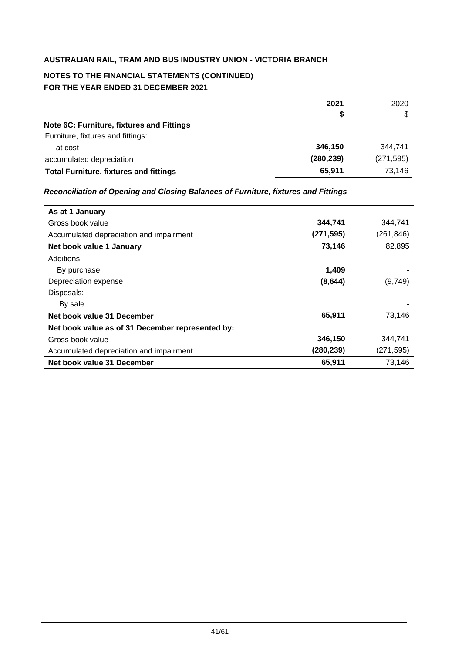# **NOTES TO THE FINANCIAL STATEMENTS (CONTINUED) FOR THE YEAR ENDED 31 DECEMBER 2021**

|                                               | 2021       | 2020       |
|-----------------------------------------------|------------|------------|
|                                               | S          | \$         |
| Note 6C: Furniture, fixtures and Fittings     |            |            |
| Furniture, fixtures and fittings:             |            |            |
| at cost                                       | 346.150    | 344.741    |
| accumulated depreciation                      | (280, 239) | (271, 595) |
| <b>Total Furniture, fixtures and fittings</b> | 65.911     | 73,146     |

## *Reconciliation of Opening and Closing Balances of Furniture, fixtures and Fittings*

| As at 1 January                                  |           |           |
|--------------------------------------------------|-----------|-----------|
| Gross book value                                 | 344,741   | 344,741   |
| Accumulated depreciation and impairment          | (271,595) | (261,846) |
| Net book value 1 January                         | 73,146    | 82,895    |
| Additions:                                       |           |           |
| By purchase                                      | 1.409     |           |
| Depreciation expense                             | (8, 644)  | (9,749)   |
| Disposals:                                       |           |           |
| By sale                                          |           |           |
| Net book value 31 December                       | 65,911    | 73,146    |
| Net book value as of 31 December represented by: |           |           |
| Gross book value                                 | 346,150   | 344,741   |
| Accumulated depreciation and impairment          | (280,239) | (271,595) |
| Net book value 31 December                       | 65,911    | 73,146    |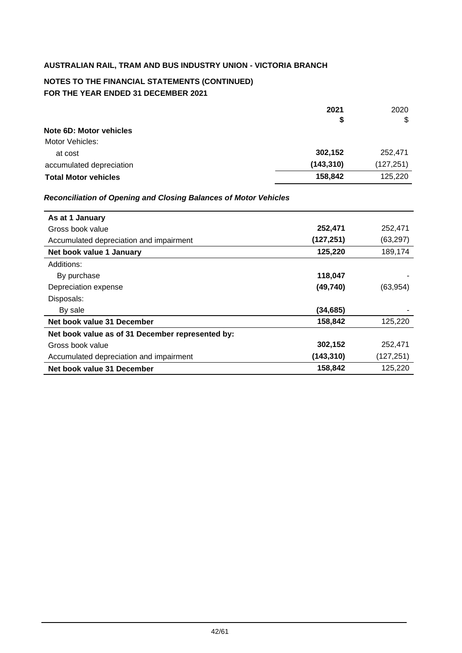# **NOTES TO THE FINANCIAL STATEMENTS (CONTINUED) FOR THE YEAR ENDED 31 DECEMBER 2021**

|                                | 2021       | 2020       |
|--------------------------------|------------|------------|
|                                | \$         | \$         |
| <b>Note 6D: Motor vehicles</b> |            |            |
| Motor Vehicles:                |            |            |
| at cost                        | 302,152    | 252,471    |
| accumulated depreciation       | (143, 310) | (127, 251) |
| <b>Total Motor vehicles</b>    | 158,842    | 125,220    |

## *Reconciliation of Opening and Closing Balances of Motor Vehicles*

| As at 1 January                                  |            |           |
|--------------------------------------------------|------------|-----------|
| Gross book value                                 | 252,471    | 252,471   |
| Accumulated depreciation and impairment          | (127, 251) | (63, 297) |
| Net book value 1 January                         | 125,220    | 189,174   |
| Additions:                                       |            |           |
| By purchase                                      | 118,047    |           |
| Depreciation expense                             | (49, 740)  | (63, 954) |
| Disposals:                                       |            |           |
| By sale                                          | (34,685)   |           |
| Net book value 31 December                       | 158,842    | 125,220   |
| Net book value as of 31 December represented by: |            |           |
| Gross book value                                 | 302,152    | 252,471   |
| Accumulated depreciation and impairment          | (143, 310) | (127,251) |
| Net book value 31 December                       | 158,842    | 125,220   |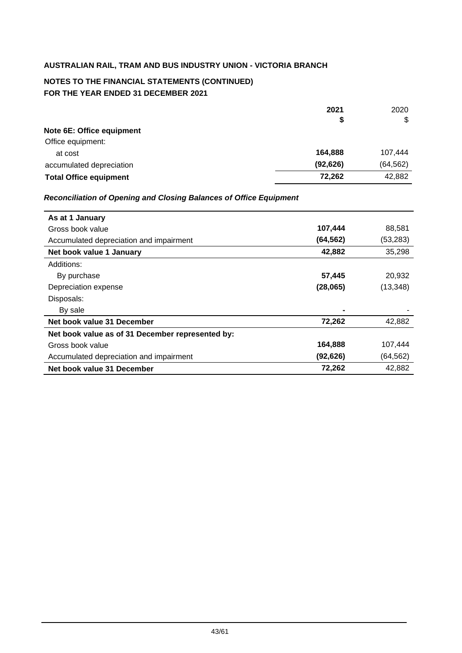# **NOTES TO THE FINANCIAL STATEMENTS (CONTINUED) FOR THE YEAR ENDED 31 DECEMBER 2021**

|                               | 2021      | 2020      |
|-------------------------------|-----------|-----------|
|                               | \$        | \$        |
| Note 6E: Office equipment     |           |           |
| Office equipment:             |           |           |
| at cost                       | 164,888   | 107,444   |
| accumulated depreciation      | (92, 626) | (64, 562) |
| <b>Total Office equipment</b> | 72,262    | 42,882    |

## *Reconciliation of Opening and Closing Balances of Office Equipment*

| As at 1 January                                  |           |           |
|--------------------------------------------------|-----------|-----------|
| Gross book value                                 | 107,444   | 88,581    |
| Accumulated depreciation and impairment          | (64, 562) | (53,283)  |
| Net book value 1 January                         | 42,882    | 35,298    |
| Additions:                                       |           |           |
| By purchase                                      | 57,445    | 20,932    |
| Depreciation expense                             | (28,065)  | (13, 348) |
| Disposals:                                       |           |           |
| By sale                                          |           |           |
| Net book value 31 December                       | 72,262    | 42,882    |
| Net book value as of 31 December represented by: |           |           |
| Gross book value                                 | 164,888   | 107,444   |
| Accumulated depreciation and impairment          | (92, 626) | (64, 562) |
| Net book value 31 December                       | 72,262    | 42,882    |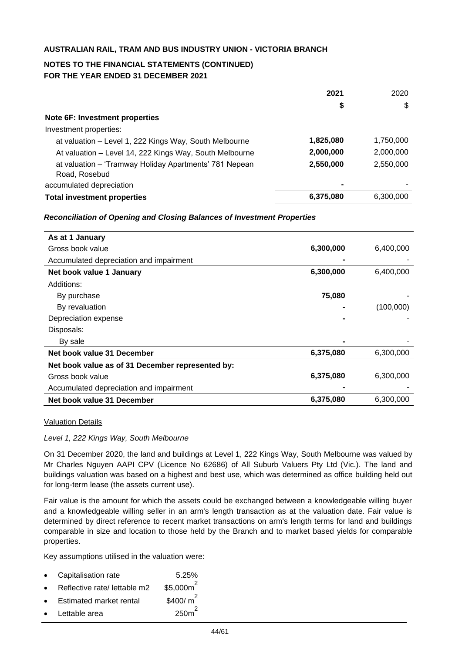# **NOTES TO THE FINANCIAL STATEMENTS (CONTINUED) FOR THE YEAR ENDED 31 DECEMBER 2021**

|                                                         | 2021      | 2020      |
|---------------------------------------------------------|-----------|-----------|
|                                                         | \$        | \$        |
| Note 6F: Investment properties                          |           |           |
| Investment properties:                                  |           |           |
| at valuation – Level 1, 222 Kings Way, South Melbourne  | 1,825,080 | 1,750,000 |
| At valuation - Level 14, 222 Kings Way, South Melbourne | 2,000,000 | 2,000,000 |
| at valuation - 'Tramway Holiday Apartments' 781 Nepean  | 2,550,000 | 2,550,000 |
| Road, Rosebud                                           |           |           |
| accumulated depreciation                                |           |           |
| <b>Total investment properties</b>                      | 6,375,080 | 6,300,000 |

#### *Reconciliation of Opening and Closing Balances of Investment Properties*

| As at 1 January                                  |           |           |
|--------------------------------------------------|-----------|-----------|
| Gross book value                                 | 6,300,000 | 6,400,000 |
| Accumulated depreciation and impairment          |           |           |
| Net book value 1 January                         | 6,300,000 | 6,400,000 |
| Additions:                                       |           |           |
| By purchase                                      | 75,080    |           |
| By revaluation                                   |           | (100,000) |
| Depreciation expense                             |           |           |
| Disposals:                                       |           |           |
| By sale                                          |           |           |
| Net book value 31 December                       | 6,375,080 | 6,300,000 |
| Net book value as of 31 December represented by: |           |           |
| Gross book value                                 | 6,375,080 | 6,300,000 |
| Accumulated depreciation and impairment          |           |           |
| Net book value 31 December                       | 6,375,080 | 6,300,000 |

#### Valuation Details

### *Level 1, 222 Kings Way, South Melbourne*

On 31 December 2020, the land and buildings at Level 1, 222 Kings Way, South Melbourne was valued by Mr Charles Nguyen AAPI CPV (Licence No 62686) of All Suburb Valuers Pty Ltd (Vic.). The land and buildings valuation was based on a highest and best use, which was determined as office building held out for long-term lease (the assets current use).

Fair value is the amount for which the assets could be exchanged between a knowledgeable willing buyer and a knowledgeable willing seller in an arm's length transaction as at the valuation date. Fair value is determined by direct reference to recent market transactions on arm's length terms for land and buildings comparable in size and location to those held by the Branch and to market based yields for comparable properties.

Key assumptions utilised in the valuation were:

- Capitalisation rate 5.25%
- $\bullet$  Reflective rate/ lettable m2 \$5.000 $m^2$
- Estimated market rental  $$400/m^2$
- Lettable area  $250m^2$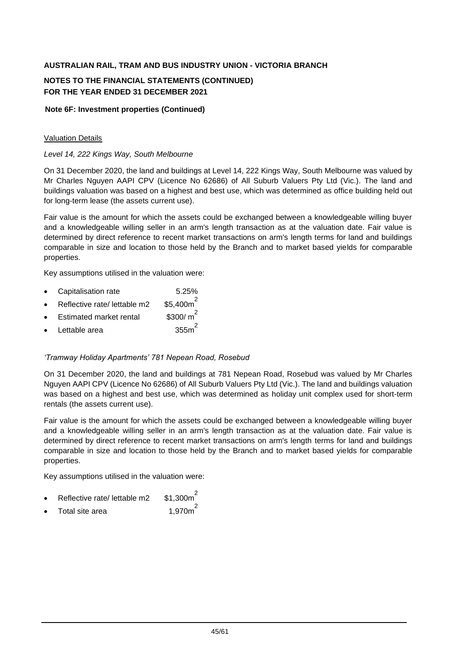# **NOTES TO THE FINANCIAL STATEMENTS (CONTINUED) FOR THE YEAR ENDED 31 DECEMBER 2021**

### **Note 6F: Investment properties (Continued)**

## Valuation Details

## *Level 14, 222 Kings Way, South Melbourne*

On 31 December 2020, the land and buildings at Level 14, 222 Kings Way, South Melbourne was valued by Mr Charles Nguyen AAPI CPV (Licence No 62686) of All Suburb Valuers Pty Ltd (Vic.). The land and buildings valuation was based on a highest and best use, which was determined as office building held out for long-term lease (the assets current use).

Fair value is the amount for which the assets could be exchanged between a knowledgeable willing buyer and a knowledgeable willing seller in an arm's length transaction as at the valuation date. Fair value is determined by direct reference to recent market transactions on arm's length terms for land and buildings comparable in size and location to those held by the Branch and to market based yields for comparable properties.

Key assumptions utilised in the valuation were:

- Capitalisation rate 5.25%
- Reflective rate/ lettable m2 \$5.400 $m^2$
- Estimated market rental  $$300/m^2$
- Lettable area 355m<sup>2</sup>

#### *'Tramway Holiday Apartments' 781 Nepean Road, Rosebud*

On 31 December 2020, the land and buildings at 781 Nepean Road, Rosebud was valued by Mr Charles Nguyen AAPI CPV (Licence No 62686) of All Suburb Valuers Pty Ltd (Vic.). The land and buildings valuation was based on a highest and best use, which was determined as holiday unit complex used for short-term rentals (the assets current use).

Fair value is the amount for which the assets could be exchanged between a knowledgeable willing buyer and a knowledgeable willing seller in an arm's length transaction as at the valuation date. Fair value is determined by direct reference to recent market transactions on arm's length terms for land and buildings comparable in size and location to those held by the Branch and to market based yields for comparable properties.

Key assumptions utilised in the valuation were:

- Reflective rate/ lettable m2 \$1,300 $m^2$
- Total site area  $1.970m^2$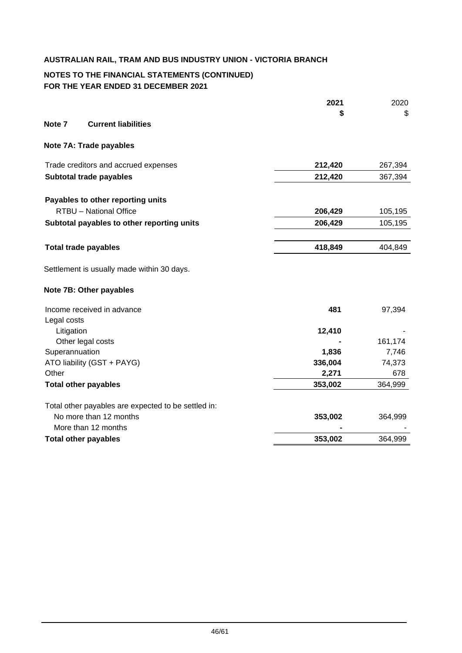# **NOTES TO THE FINANCIAL STATEMENTS (CONTINUED) FOR THE YEAR ENDED 31 DECEMBER 2021**

|                |                                                     | 2021             | 2020            |
|----------------|-----------------------------------------------------|------------------|-----------------|
|                |                                                     | S                | \$              |
| Note 7         | <b>Current liabilities</b>                          |                  |                 |
|                | Note 7A: Trade payables                             |                  |                 |
|                | Trade creditors and accrued expenses                | 212,420          | 267,394         |
|                | Subtotal trade payables                             | 212,420          | 367,394         |
|                | Payables to other reporting units                   |                  |                 |
|                | RTBU - National Office                              | 206,429          | 105,195         |
|                | Subtotal payables to other reporting units          | 206,429          | 105,195         |
|                | <b>Total trade payables</b>                         | 418,849          | 404,849         |
|                | Settlement is usually made within 30 days.          |                  |                 |
|                | Note 7B: Other payables                             |                  |                 |
|                | Income received in advance                          | 481              | 97,394          |
| Legal costs    |                                                     |                  |                 |
| Litigation     |                                                     | 12,410           |                 |
|                | Other legal costs                                   |                  | 161,174         |
| Superannuation | ATO liability (GST + PAYG)                          | 1,836<br>336,004 | 7,746<br>74,373 |
| Other          |                                                     | 2,271            | 678             |
|                | <b>Total other payables</b>                         | 353,002          | 364,999         |
|                | Total other payables are expected to be settled in: |                  |                 |
|                | No more than 12 months                              | 353,002          | 364,999         |
|                | More than 12 months                                 |                  |                 |
|                | <b>Total other payables</b>                         | 353,002          | 364,999         |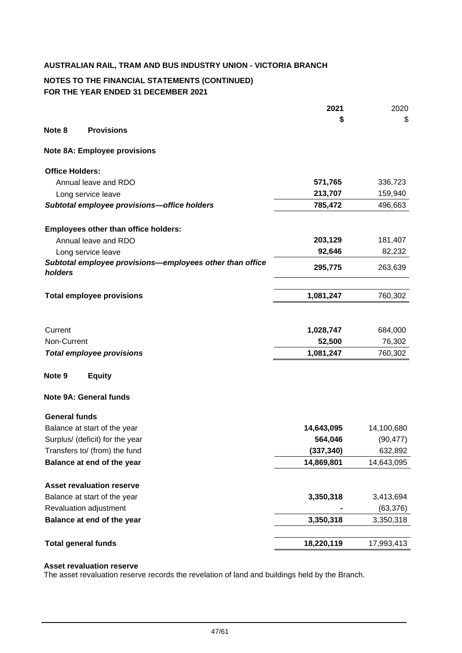# **NOTES TO THE FINANCIAL STATEMENTS (CONTINUED) FOR THE YEAR ENDED 31 DECEMBER 2021**

|                        |                                                          | 2021       | 2020       |
|------------------------|----------------------------------------------------------|------------|------------|
|                        |                                                          |            | \$         |
| Note 8                 | <b>Provisions</b>                                        |            |            |
|                        | <b>Note 8A: Employee provisions</b>                      |            |            |
| <b>Office Holders:</b> |                                                          |            |            |
|                        | Annual leave and RDO                                     | 571,765    | 336,723    |
|                        | Long service leave                                       | 213,707    | 159,940    |
|                        | Subtotal employee provisions-office holders              | 785,472    | 496,663    |
|                        | <b>Employees other than office holders:</b>              |            |            |
|                        | Annual leave and RDO                                     | 203,129    | 181,407    |
|                        | Long service leave                                       | 92,646     | 82,232     |
| holders                | Subtotal employee provisions-employees other than office | 295,775    | 263,639    |
|                        | <b>Total employee provisions</b>                         | 1,081,247  | 760,302    |
|                        |                                                          |            |            |
| Current                |                                                          | 1,028,747  | 684,000    |
| Non-Current            |                                                          | 52,500     | 76,302     |
|                        | <b>Total employee provisions</b>                         | 1,081,247  | 760,302    |
| Note 9                 | <b>Equity</b>                                            |            |            |
|                        | <b>Note 9A: General funds</b>                            |            |            |
| <b>General funds</b>   |                                                          |            |            |
|                        | Balance at start of the year                             | 14,643,095 | 14,100,680 |
|                        | Surplus/ (deficit) for the year                          | 564,046    | (90, 477)  |
|                        | Transfers to/ (from) the fund                            | (337, 340) | 632,892    |
|                        | Balance at end of the year                               | 14,869,801 | 14,643,095 |
|                        | <b>Asset revaluation reserve</b>                         |            |            |
|                        | Balance at start of the year                             | 3,350,318  | 3,413,694  |
|                        | Revaluation adjustment                                   |            | (63, 376)  |
|                        | Balance at end of the year                               | 3,350,318  | 3,350,318  |
|                        | <b>Total general funds</b>                               | 18,220,119 | 17,993,413 |
|                        |                                                          |            |            |

#### **Asset revaluation reserve**

The asset revaluation reserve records the revelation of land and buildings held by the Branch.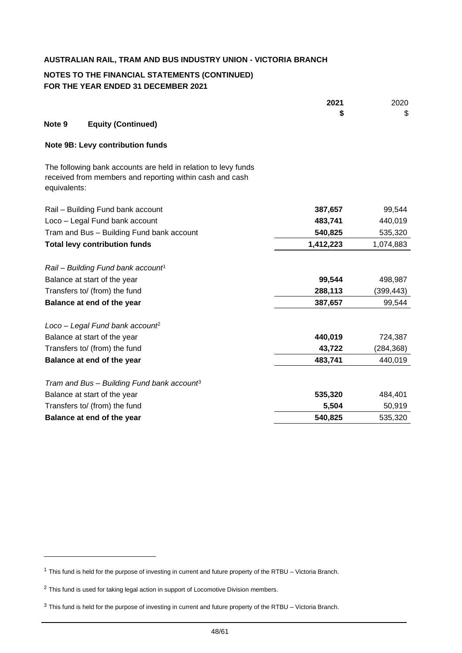## **NOTES TO THE FINANCIAL STATEMENTS (CONTINUED) FOR THE YEAR ENDED 31 DECEMBER 2021**

|              |                                                                                                                            | 2021      | 2020       |
|--------------|----------------------------------------------------------------------------------------------------------------------------|-----------|------------|
|              |                                                                                                                            | \$        | \$         |
| Note 9       | <b>Equity (Continued)</b>                                                                                                  |           |            |
|              | <b>Note 9B: Levy contribution funds</b>                                                                                    |           |            |
| equivalents: | The following bank accounts are held in relation to levy funds<br>received from members and reporting within cash and cash |           |            |
|              | Rail - Building Fund bank account                                                                                          | 387,657   | 99,544     |
|              | Loco - Legal Fund bank account                                                                                             | 483,741   | 440,019    |
|              | Tram and Bus - Building Fund bank account                                                                                  | 540,825   | 535,320    |
|              | <b>Total levy contribution funds</b>                                                                                       | 1,412,223 | 1,074,883  |
|              | Rail - Building Fund bank account <sup>1</sup>                                                                             |           |            |
|              | Balance at start of the year                                                                                               | 99,544    | 498,987    |
|              | Transfers to/ (from) the fund                                                                                              | 288,113   | (399, 443) |
|              | Balance at end of the year                                                                                                 | 387,657   | 99,544     |
|              | Loco - Legal Fund bank account <sup>2</sup>                                                                                |           |            |
|              | Balance at start of the year                                                                                               | 440,019   | 724,387    |
|              | Transfers to/ (from) the fund                                                                                              | 43,722    | (284, 368) |
|              | Balance at end of the year                                                                                                 | 483,741   | 440,019    |
|              | Tram and Bus - Building Fund bank account <sup>3</sup>                                                                     |           |            |
|              | Balance at start of the year                                                                                               | 535,320   | 484,401    |
|              | Transfers to/ (from) the fund                                                                                              | 5,504     | 50,919     |
|              | Balance at end of the year                                                                                                 | 540,825   | 535,320    |
|              |                                                                                                                            |           |            |

<sup>1</sup> This fund is held for the purpose of investing in current and future property of the RTBU – Victoria Branch.

<sup>&</sup>lt;sup>2</sup> This fund is used for taking legal action in support of Locomotive Division members.

<sup>&</sup>lt;sup>3</sup> This fund is held for the purpose of investing in current and future property of the RTBU – Victoria Branch.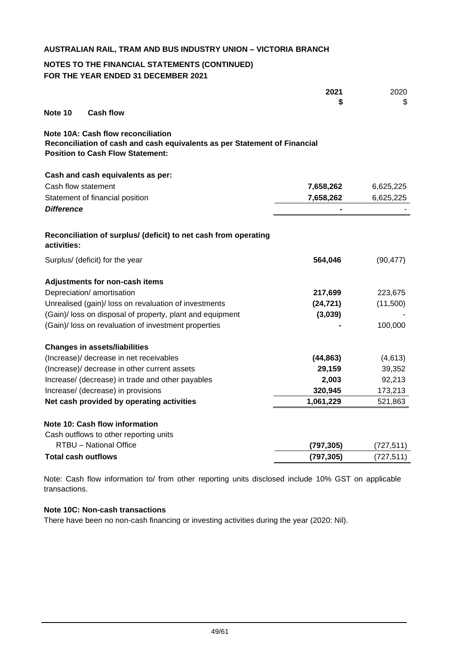# **NOTES TO THE FINANCIAL STATEMENTS (CONTINUED) FOR THE YEAR ENDED 31 DECEMBER 2021**

|                                                                                                                                                                   | 2021<br>S  | 2020<br>S  |
|-------------------------------------------------------------------------------------------------------------------------------------------------------------------|------------|------------|
| Note 10<br><b>Cash flow</b>                                                                                                                                       |            |            |
| <b>Note 10A: Cash flow reconciliation</b><br>Reconciliation of cash and cash equivalents as per Statement of Financial<br><b>Position to Cash Flow Statement:</b> |            |            |
| Cash and cash equivalents as per:                                                                                                                                 |            |            |
| Cash flow statement                                                                                                                                               | 7,658,262  | 6,625,225  |
| Statement of financial position                                                                                                                                   | 7,658,262  | 6,625,225  |
| <b>Difference</b>                                                                                                                                                 |            |            |
| Reconciliation of surplus/ (deficit) to net cash from operating<br>activities:                                                                                    |            |            |
| Surplus/ (deficit) for the year                                                                                                                                   | 564,046    | (90, 477)  |
| Adjustments for non-cash items                                                                                                                                    |            |            |
| Depreciation/ amortisation                                                                                                                                        | 217,699    | 223,675    |
| Unrealised (gain)/ loss on revaluation of investments                                                                                                             | (24, 721)  | (11,500)   |
| (Gain)/ loss on disposal of property, plant and equipment                                                                                                         | (3,039)    |            |
| (Gain)/ loss on revaluation of investment properties                                                                                                              |            | 100,000    |
| <b>Changes in assets/liabilities</b>                                                                                                                              |            |            |
| (Increase)/ decrease in net receivables                                                                                                                           | (44, 863)  | (4,613)    |
| (Increase)/ decrease in other current assets                                                                                                                      | 29,159     | 39,352     |
| Increase/ (decrease) in trade and other payables                                                                                                                  | 2,003      | 92,213     |
| Increase/ (decrease) in provisions                                                                                                                                | 320,945    | 173,213    |
| Net cash provided by operating activities                                                                                                                         | 1,061,229  | 521,863    |
| Note 10: Cash flow information                                                                                                                                    |            |            |
| Cash outflows to other reporting units                                                                                                                            |            |            |
| RTBU - National Office                                                                                                                                            | (797, 305) | (727, 511) |
| <b>Total cash outflows</b>                                                                                                                                        | (797, 305) | (727, 511) |

Note: Cash flow information to/ from other reporting units disclosed include 10% GST on applicable transactions.

# **Note 10C: Non-cash transactions**

There have been no non-cash financing or investing activities during the year (2020: Nil).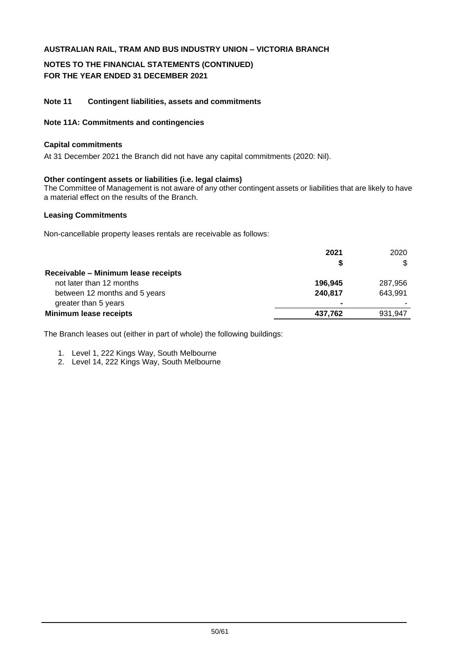## **NOTES TO THE FINANCIAL STATEMENTS (CONTINUED) FOR THE YEAR ENDED 31 DECEMBER 2021**

#### **Note 11 Contingent liabilities, assets and commitments**

#### **Note 11A: Commitments and contingencies**

#### **Capital commitments**

At 31 December 2021 the Branch did not have any capital commitments (2020: Nil).

#### **Other contingent assets or liabilities (i.e. legal claims)**

The Committee of Management is not aware of any other contingent assets or liabilities that are likely to have a material effect on the results of the Branch.

#### **Leasing Commitments**

Non-cancellable property leases rentals are receivable as follows:

|                                     | 2021           | 2020    |
|-------------------------------------|----------------|---------|
|                                     |                |         |
| Receivable – Minimum lease receipts |                |         |
| not later than 12 months            | 196.945        | 287,956 |
| between 12 months and 5 years       | 240.817        | 643.991 |
| greater than 5 years                | $\blacksquare$ |         |
| <b>Minimum lease receipts</b>       | 437.762        | 931.947 |

The Branch leases out (either in part of whole) the following buildings:

- 1. Level 1, 222 Kings Way, South Melbourne
- 2. Level 14, 222 Kings Way, South Melbourne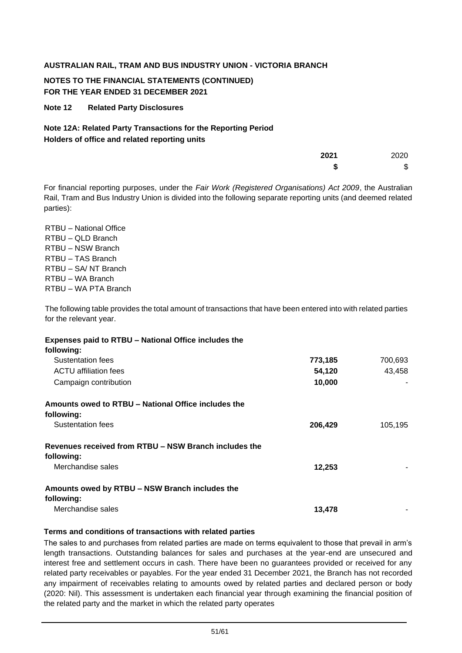# **NOTES TO THE FINANCIAL STATEMENTS (CONTINUED) FOR THE YEAR ENDED 31 DECEMBER 2021**

## **Note 12 Related Party Disclosures**

# **Note 12A: Related Party Transactions for the Reporting Period Holders of office and related reporting units**

| 2021 | 2020 |
|------|------|
| S    | \$   |

For financial reporting purposes, under the *Fair Work (Registered Organisations) Act 2009*, the Australian Rail, Tram and Bus Industry Union is divided into the following separate reporting units (and deemed related parties):

RTBU – National Office RTBU – QLD Branch RTBU – NSW Branch RTBU – TAS Branch RTBU – SA/ NT Branch RTBU – WA Branch RTBU – WA PTA Branch

The following table provides the total amount of transactions that have been entered into with related parties for the relevant year.

| Expenses paid to RTBU - National Office includes the  |         |         |
|-------------------------------------------------------|---------|---------|
| following:                                            |         |         |
| Sustentation fees                                     | 773,185 | 700,693 |
| ACTU affiliation fees                                 | 54,120  | 43,458  |
| Campaign contribution                                 | 10,000  |         |
| Amounts owed to RTBU – National Office includes the   |         |         |
| following:                                            |         |         |
| Sustentation fees                                     | 206,429 | 105,195 |
| Revenues received from RTBU – NSW Branch includes the |         |         |
| following:                                            |         |         |
| Merchandise sales                                     | 12,253  |         |
| Amounts owed by RTBU - NSW Branch includes the        |         |         |
| following:                                            |         |         |
| Merchandise sales                                     | 13,478  |         |

#### **Terms and conditions of transactions with related parties**

The sales to and purchases from related parties are made on terms equivalent to those that prevail in arm's length transactions. Outstanding balances for sales and purchases at the year-end are unsecured and interest free and settlement occurs in cash. There have been no guarantees provided or received for any related party receivables or payables. For the year ended 31 December 2021, the Branch has not recorded any impairment of receivables relating to amounts owed by related parties and declared person or body (2020: Nil). This assessment is undertaken each financial year through examining the financial position of the related party and the market in which the related party operates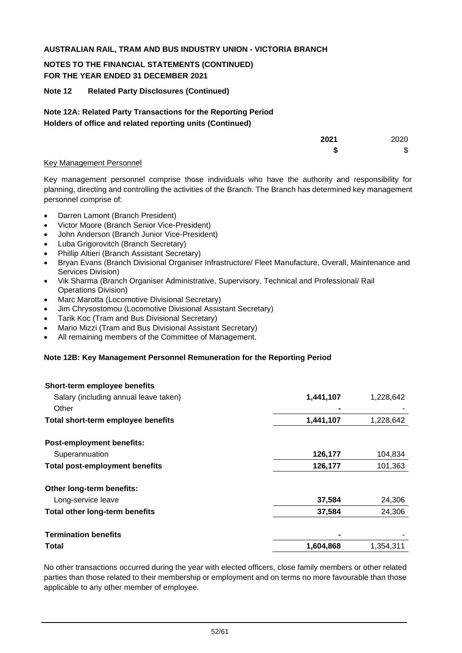# **NOTES TO THE FINANCIAL STATEMENTS (CONTINUED) FOR THE YEAR ENDED 31 DECEMBER 2021**

## **Note 12 Related Party Disclosures (Continued)**

## **Note 12A: Related Party Transactions for the Reporting Period Holders of office and related reporting units (Continued)**

|                                     | 2021 | 2020 |
|-------------------------------------|------|------|
|                                     | -11  | \$   |
| $\lambda$ Men executed the second l |      |      |

#### Key Management Personnel

Key management personnel comprise those individuals who have the authority and responsibility for planning, directing and controlling the activities of the Branch. The Branch has determined key management personnel comprise of:

- Darren Lamont (Branch President)
- Victor Moore (Branch Senior Vice-President)
- John Anderson (Branch Junior Vice-President)
- Luba Grigorovitch (Branch Secretary)
- Phillip Altieri (Branch Assistant Secretary)
- Bryan Evans (Branch Divisional Organiser Infrastructure/ Fleet Manufacture, Overall, Maintenance and Services Division)
- Vik Sharma (Branch Organiser Administrative, Supervisory, Technical and Professional/ Rail Operations Division)
- Marc Marotta (Locomotive Divisional Secretary)
- Jim Chrysostomou (Locomotive Divisional Assistant Secretary)
- Tarik Koc (Tram and Bus Divisional Secretary)
- Mario Mizzi (Tram and Bus Divisional Assistant Secretary)
- All remaining members of the Committee of Management.

#### **Note 12B: Key Management Personnel Remuneration for the Reporting Period**

| Short-term employee benefits          |           |           |
|---------------------------------------|-----------|-----------|
| Salary (including annual leave taken) | 1,441,107 | 1,228,642 |
| Other                                 |           |           |
| Total short-term employee benefits    | 1,441,107 | 1,228,642 |
| <b>Post-employment benefits:</b>      |           |           |
| Superannuation                        | 126,177   | 104,834   |
| <b>Total post-employment benefits</b> | 126,177   | 101,363   |
| Other long-term benefits:             |           |           |
| Long-service leave                    | 37,584    | 24,306    |
| <b>Total other long-term benefits</b> | 37,584    | 24,306    |
| <b>Termination benefits</b>           |           |           |
| Total                                 | 1,604,868 | 1,354,311 |

No other transactions occurred during the year with elected officers, close family members or other related parties than those related to their membership or employment and on terms no more favourable than those applicable to any other member of employee.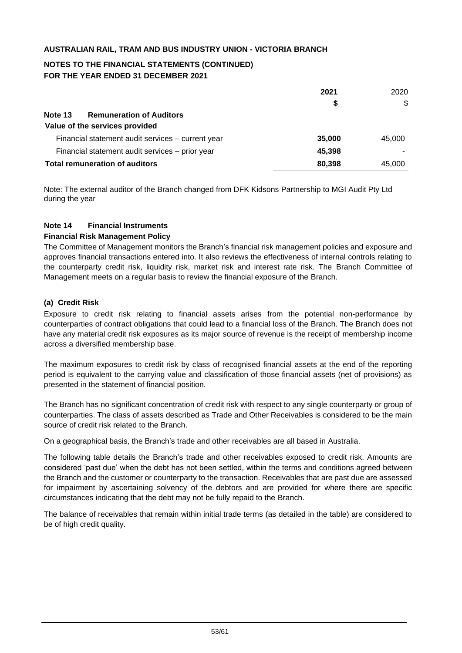# **NOTES TO THE FINANCIAL STATEMENTS (CONTINUED) FOR THE YEAR ENDED 31 DECEMBER 2021**

|                                                   | 2021   | 2020   |
|---------------------------------------------------|--------|--------|
|                                                   | \$     | \$     |
| Note 13<br><b>Remuneration of Auditors</b>        |        |        |
| Value of the services provided                    |        |        |
| Financial statement audit services - current year | 35,000 | 45,000 |
| Financial statement audit services - prior year   | 45,398 |        |
| Total remuneration of auditors                    | 80.398 | 45.000 |

Note: The external auditor of the Branch changed from DFK Kidsons Partnership to MGI Audit Pty Ltd during the year

#### **Note 14 Financial Instruments**

#### **Financial Risk Management Policy**

The Committee of Management monitors the Branch's financial risk management policies and exposure and approves financial transactions entered into. It also reviews the effectiveness of internal controls relating to the counterparty credit risk, liquidity risk, market risk and interest rate risk. The Branch Committee of Management meets on a regular basis to review the financial exposure of the Branch.

## **(a) Credit Risk**

Exposure to credit risk relating to financial assets arises from the potential non-performance by counterparties of contract obligations that could lead to a financial loss of the Branch. The Branch does not have any material credit risk exposures as its major source of revenue is the receipt of membership income across a diversified membership base.

The maximum exposures to credit risk by class of recognised financial assets at the end of the reporting period is equivalent to the carrying value and classification of those financial assets (net of provisions) as presented in the statement of financial position.

The Branch has no significant concentration of credit risk with respect to any single counterparty or group of counterparties. The class of assets described as Trade and Other Receivables is considered to be the main source of credit risk related to the Branch.

On a geographical basis, the Branch's trade and other receivables are all based in Australia.

The following table details the Branch's trade and other receivables exposed to credit risk. Amounts are considered 'past due' when the debt has not been settled, within the terms and conditions agreed between the Branch and the customer or counterparty to the transaction. Receivables that are past due are assessed for impairment by ascertaining solvency of the debtors and are provided for where there are specific circumstances indicating that the debt may not be fully repaid to the Branch.

The balance of receivables that remain within initial trade terms (as detailed in the table) are considered to be of high credit quality.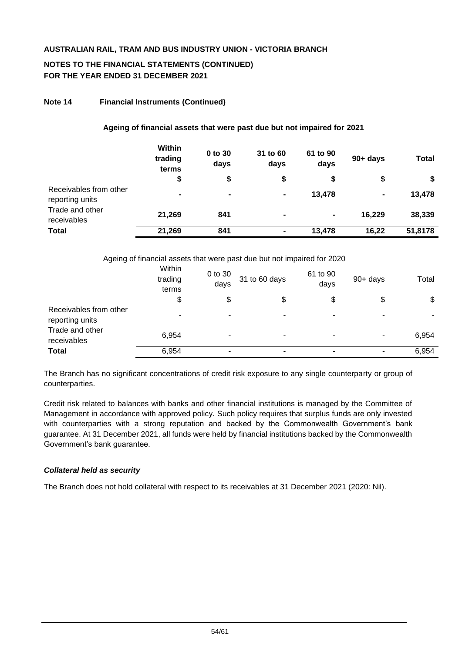## **NOTES TO THE FINANCIAL STATEMENTS (CONTINUED) FOR THE YEAR ENDED 31 DECEMBER 2021**

### **Note 14 Financial Instruments (Continued)**

#### **Ageing of financial assets that were past due but not impaired for 2021**

|                                           | Within<br>trading<br>terms | 0 to 30<br>days | 31 to 60<br>days | 61 to 90<br>days | $90+$ days | <b>Total</b> |
|-------------------------------------------|----------------------------|-----------------|------------------|------------------|------------|--------------|
|                                           | \$                         | \$              |                  | \$               | \$         | \$           |
| Receivables from other<br>reporting units | $\blacksquare$             | $\blacksquare$  | $\blacksquare$   | 13,478           | ۰          | 13,478       |
| Trade and other<br>receivables            | 21,269                     | 841             | $\blacksquare$   | $\blacksquare$   | 16.229     | 38,339       |
| <b>Total</b>                              | 21,269                     | 841             | $\blacksquare$   | 13,478           | 16,22      | 51,8178      |

Ageing of financial assets that were past due but not impaired for 2020

|                                           | Within<br>trading<br>terms | 0 to 30<br>days | 31 to 60 days | 61 to 90<br>days | $90+$ days     | Total |
|-------------------------------------------|----------------------------|-----------------|---------------|------------------|----------------|-------|
|                                           | \$                         | \$              | \$            | \$               | \$             | \$    |
| Receivables from other<br>reporting units | ۰                          | ۰.              | ٠             | -                | $\blacksquare$ |       |
| Trade and other<br>receivables            | 6,954                      | ۰               | ۰             | ۰                | $\blacksquare$ | 6,954 |
| <b>Total</b>                              | 6,954                      | ۰               | ۰             | ۰                | ٠              | 6,954 |

The Branch has no significant concentrations of credit risk exposure to any single counterparty or group of counterparties.

Credit risk related to balances with banks and other financial institutions is managed by the Committee of Management in accordance with approved policy. Such policy requires that surplus funds are only invested with counterparties with a strong reputation and backed by the Commonwealth Government's bank guarantee. At 31 December 2021, all funds were held by financial institutions backed by the Commonwealth Government's bank guarantee.

### *Collateral held as security*

The Branch does not hold collateral with respect to its receivables at 31 December 2021 (2020: Nil).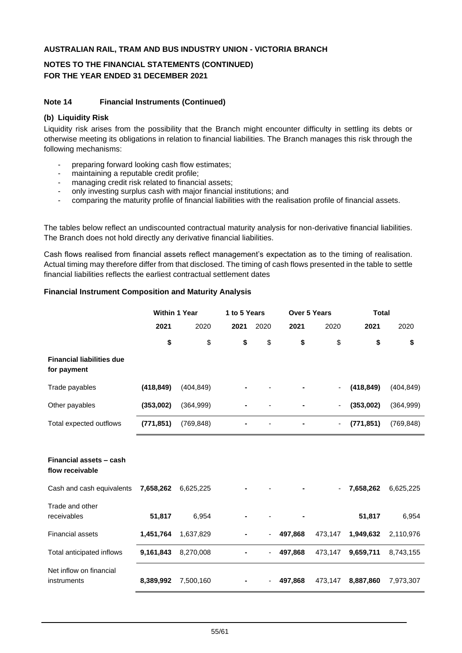# **NOTES TO THE FINANCIAL STATEMENTS (CONTINUED) FOR THE YEAR ENDED 31 DECEMBER 2021**

### **Note 14 Financial Instruments (Continued)**

### **(b) Liquidity Risk**

Liquidity risk arises from the possibility that the Branch might encounter difficulty in settling its debts or otherwise meeting its obligations in relation to financial liabilities. The Branch manages this risk through the following mechanisms:

- preparing forward looking cash flow estimates;
- maintaining a reputable credit profile;
- managing credit risk related to financial assets;
- only investing surplus cash with major financial institutions; and
- comparing the maturity profile of financial liabilities with the realisation profile of financial assets.

The tables below reflect an undiscounted contractual maturity analysis for non-derivative financial liabilities. The Branch does not hold directly any derivative financial liabilities.

Cash flows realised from financial assets reflect management's expectation as to the timing of realisation. Actual timing may therefore differ from that disclosed. The timing of cash flows presented in the table to settle financial liabilities reflects the earliest contractual settlement dates

## **Financial Instrument Composition and Maturity Analysis**

|                                                 | <b>Within 1 Year</b> |            | 1 to 5 Years |      |         | <b>Over 5 Years</b> |            | <b>Total</b> |  |
|-------------------------------------------------|----------------------|------------|--------------|------|---------|---------------------|------------|--------------|--|
|                                                 | 2021                 | 2020       | 2021         | 2020 | 2021    | 2020                | 2021       | 2020         |  |
|                                                 | \$                   | \$         | \$           | \$   | \$      | \$                  | \$         | \$           |  |
| <b>Financial liabilities due</b><br>for payment |                      |            |              |      |         |                     |            |              |  |
| Trade payables                                  | (418, 849)           | (404, 849) |              |      |         |                     | (418, 849) | (404, 849)   |  |
| Other payables                                  | (353,002)            | (364, 999) |              |      |         |                     | (353,002)  | (364, 999)   |  |
| Total expected outflows                         | (771, 851)           | (769, 848) |              |      |         |                     | (771, 851) | (769, 848)   |  |
|                                                 |                      |            |              |      |         |                     |            |              |  |
| Financial assets - cash<br>flow receivable      |                      |            |              |      |         |                     |            |              |  |
| Cash and cash equivalents                       | 7,658,262            | 6,625,225  |              |      |         |                     | 7,658,262  | 6,625,225    |  |
| Trade and other<br>receivables                  | 51,817               | 6,954      |              |      |         |                     | 51,817     | 6,954        |  |
| <b>Financial assets</b>                         | 1,451,764            | 1,637,829  |              |      | 497,868 | 473,147             | 1,949,632  | 2,110,976    |  |
| Total anticipated inflows                       | 9,161,843            | 8,270,008  |              | -    | 497,868 | 473,147             | 9,659,711  | 8,743,155    |  |
| Net inflow on financial<br>instruments          | 8,389,992            | 7,500,160  |              |      | 497,868 | 473,147             | 8,887,860  | 7,973,307    |  |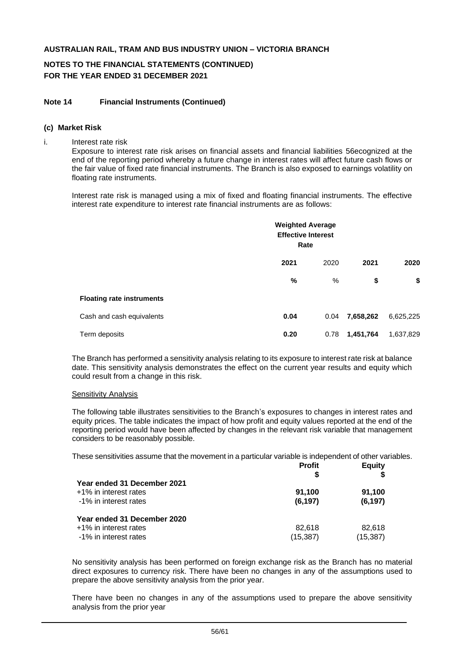# **NOTES TO THE FINANCIAL STATEMENTS (CONTINUED) FOR THE YEAR ENDED 31 DECEMBER 2021**

#### **Note 14 Financial Instruments (Continued)**

#### **(c) Market Risk**

i. Interest rate risk

Exposure to interest rate risk arises on financial assets and financial liabilities 56ecognized at the end of the reporting period whereby a future change in interest rates will affect future cash flows or the fair value of fixed rate financial instruments. The Branch is also exposed to earnings volatility on floating rate instruments.

Interest rate risk is managed using a mix of fixed and floating financial instruments. The effective interest rate expenditure to interest rate financial instruments are as follows:

|                                  | <b>Weighted Average</b><br><b>Effective Interest</b><br>Rate |      |           |           |  |
|----------------------------------|--------------------------------------------------------------|------|-----------|-----------|--|
|                                  | 2021                                                         | 2020 | 2021      | 2020      |  |
|                                  | %                                                            | %    | \$        | \$        |  |
| <b>Floating rate instruments</b> |                                                              |      |           |           |  |
| Cash and cash equivalents        | 0.04                                                         | 0.04 | 7,658,262 | 6,625,225 |  |
| Term deposits                    | 0.20                                                         | 0.78 | 1,451,764 | 1,637,829 |  |

The Branch has performed a sensitivity analysis relating to its exposure to interest rate risk at balance date. This sensitivity analysis demonstrates the effect on the current year results and equity which could result from a change in this risk.

#### Sensitivity Analysis

The following table illustrates sensitivities to the Branch's exposures to changes in interest rates and equity prices. The table indicates the impact of how profit and equity values reported at the end of the reporting period would have been affected by changes in the relevant risk variable that management considers to be reasonably possible.

These sensitivities assume that the movement in a particular variable is independent of other variables.

|                                                                               | <b>Profit</b><br>S  | <b>Equity</b>       |
|-------------------------------------------------------------------------------|---------------------|---------------------|
| Year ended 31 December 2021<br>+1% in interest rates<br>-1% in interest rates | 91.100<br>(6, 197)  | 91,100<br>(6, 197)  |
| Year ended 31 December 2020<br>+1% in interest rates<br>-1% in interest rates | 82.618<br>(15, 387) | 82,618<br>(15, 387) |

No sensitivity analysis has been performed on foreign exchange risk as the Branch has no material direct exposures to currency risk. There have been no changes in any of the assumptions used to prepare the above sensitivity analysis from the prior year.

There have been no changes in any of the assumptions used to prepare the above sensitivity analysis from the prior year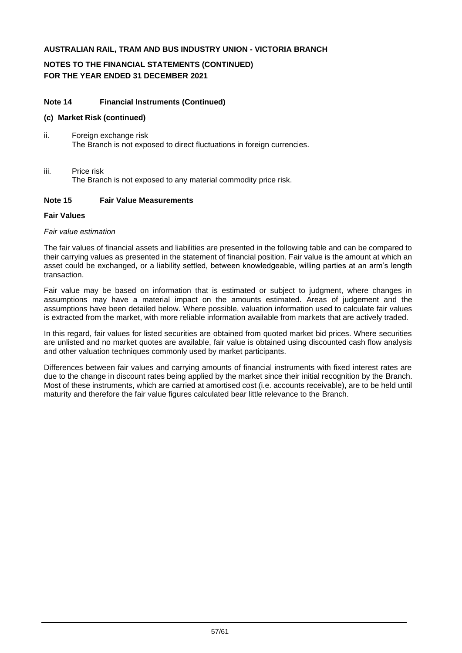# **NOTES TO THE FINANCIAL STATEMENTS (CONTINUED) FOR THE YEAR ENDED 31 DECEMBER 2021**

#### **Note 14 Financial Instruments (Continued)**

#### **(c) Market Risk (continued)**

- ii. Foreign exchange risk The Branch is not exposed to direct fluctuations in foreign currencies.
- iii. Price risk The Branch is not exposed to any material commodity price risk.

### **Note 15 Fair Value Measurements**

#### **Fair Values**

#### *Fair value estimation*

The fair values of financial assets and liabilities are presented in the following table and can be compared to their carrying values as presented in the statement of financial position. Fair value is the amount at which an asset could be exchanged, or a liability settled, between knowledgeable, willing parties at an arm's length transaction.

Fair value may be based on information that is estimated or subject to judgment, where changes in assumptions may have a material impact on the amounts estimated. Areas of judgement and the assumptions have been detailed below. Where possible, valuation information used to calculate fair values is extracted from the market, with more reliable information available from markets that are actively traded.

In this regard, fair values for listed securities are obtained from quoted market bid prices. Where securities are unlisted and no market quotes are available, fair value is obtained using discounted cash flow analysis and other valuation techniques commonly used by market participants.

Differences between fair values and carrying amounts of financial instruments with fixed interest rates are due to the change in discount rates being applied by the market since their initial recognition by the Branch. Most of these instruments, which are carried at amortised cost (i.e. accounts receivable), are to be held until maturity and therefore the fair value figures calculated bear little relevance to the Branch.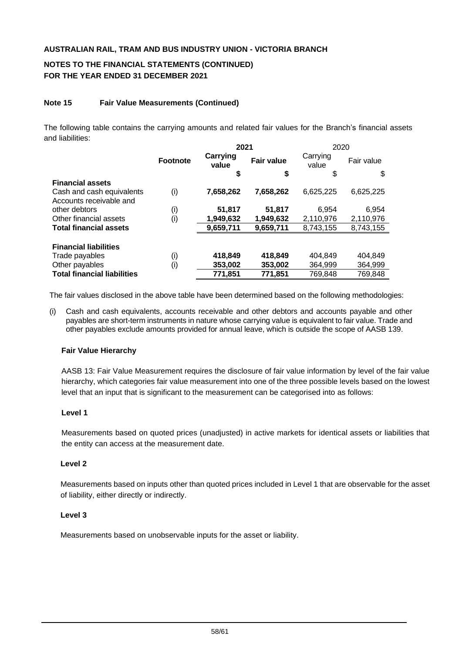# **NOTES TO THE FINANCIAL STATEMENTS (CONTINUED) FOR THE YEAR ENDED 31 DECEMBER 2021**

## **Note 15 Fair Value Measurements (Continued)**

The following table contains the carrying amounts and related fair values for the Branch's financial assets and liabilities:

|                                    |                 | 2021              |                   | 2020              |            |  |
|------------------------------------|-----------------|-------------------|-------------------|-------------------|------------|--|
|                                    | <b>Footnote</b> | Carrying<br>value | <b>Fair value</b> | Carrying<br>value | Fair value |  |
|                                    |                 | \$                | \$                | \$                | \$         |  |
| <b>Financial assets</b>            |                 |                   |                   |                   |            |  |
| Cash and cash equivalents          | (i)             | 7,658,262         | 7,658,262         | 6,625,225         | 6,625,225  |  |
| Accounts receivable and            |                 |                   |                   |                   |            |  |
| other debtors                      | (i)             | 51,817            | 51,817            | 6.954             | 6,954      |  |
| Other financial assets             | (i)             | 1,949,632         | 1,949,632         | 2,110,976         | 2,110,976  |  |
| <b>Total financial assets</b>      |                 | 9,659,711         | 9,659,711         | 8,743,155         | 8,743,155  |  |
|                                    |                 |                   |                   |                   |            |  |
| <b>Financial liabilities</b>       |                 |                   |                   |                   |            |  |
| Trade payables                     | (i)             | 418,849           | 418,849           | 404.849           | 404,849    |  |
| Other payables                     | (i)             | 353,002           | 353,002           | 364,999           | 364,999    |  |
| <b>Total financial liabilities</b> |                 | 771,851           | 771.851           | 769,848           | 769,848    |  |

The fair values disclosed in the above table have been determined based on the following methodologies:

(i) Cash and cash equivalents, accounts receivable and other debtors and accounts payable and other payables are short-term instruments in nature whose carrying value is equivalent to fair value. Trade and other payables exclude amounts provided for annual leave, which is outside the scope of AASB 139.

#### **Fair Value Hierarchy**

AASB 13: Fair Value Measurement requires the disclosure of fair value information by level of the fair value hierarchy, which categories fair value measurement into one of the three possible levels based on the lowest level that an input that is significant to the measurement can be categorised into as follows:

#### **Level 1**

Measurements based on quoted prices (unadjusted) in active markets for identical assets or liabilities that the entity can access at the measurement date.

#### **Level 2**

Measurements based on inputs other than quoted prices included in Level 1 that are observable for the asset of liability, either directly or indirectly.

#### **Level 3**

Measurements based on unobservable inputs for the asset or liability.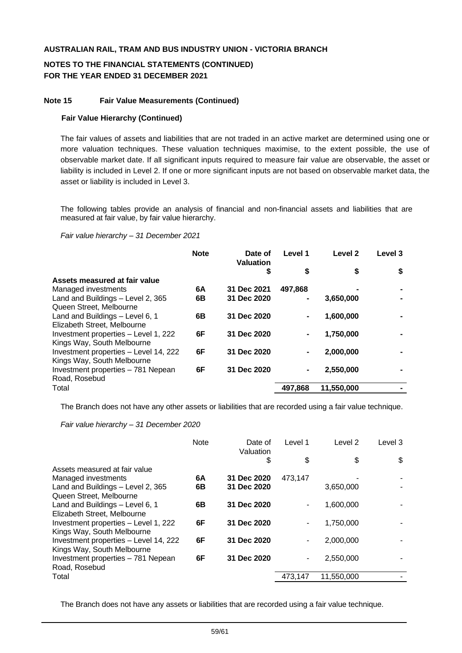# **NOTES TO THE FINANCIAL STATEMENTS (CONTINUED) FOR THE YEAR ENDED 31 DECEMBER 2021**

#### **Note 15 Fair Value Measurements (Continued)**

#### **Fair Value Hierarchy (Continued)**

The fair values of assets and liabilities that are not traded in an active market are determined using one or more valuation techniques. These valuation techniques maximise, to the extent possible, the use of observable market date. If all significant inputs required to measure fair value are observable, the asset or liability is included in Level 2. If one or more significant inputs are not based on observable market data, the asset or liability is included in Level 3.

The following tables provide an analysis of financial and non-financial assets and liabilities that are measured at fair value, by fair value hierarchy.

*Fair value hierarchy – 31 December 2021*

|                                                                    | <b>Note</b> | Date of<br><b>Valuation</b> | Level 1 | Level <sub>2</sub> | Level 3 |
|--------------------------------------------------------------------|-------------|-----------------------------|---------|--------------------|---------|
|                                                                    |             | \$                          | \$      | \$                 | \$      |
| Assets measured at fair value                                      |             |                             |         |                    |         |
| Managed investments                                                | 6A          | 31 Dec 2021                 | 497.868 |                    |         |
| Land and Buildings - Level 2, 365                                  | 6В          | 31 Dec 2020                 | ۰       | 3,650,000          |         |
| Queen Street, Melbourne                                            |             |                             |         |                    |         |
| Land and Buildings - Level 6, 1                                    | 6В          | 31 Dec 2020                 |         | 1,600,000          |         |
| Elizabeth Street, Melbourne                                        |             |                             |         |                    |         |
| Investment properties - Level 1, 222<br>Kings Way, South Melbourne | 6F          | 31 Dec 2020                 |         | 1,750,000          |         |
| Investment properties - Level 14, 222                              | 6F          | 31 Dec 2020                 |         | 2,000,000          |         |
| Kings Way, South Melbourne                                         |             |                             |         |                    |         |
| Investment properties - 781 Nepean                                 | 6F          | 31 Dec 2020                 |         | 2,550,000          |         |
| Road, Rosebud                                                      |             |                             |         |                    |         |
| Total                                                              |             |                             | 497,868 | 11,550,000         |         |
|                                                                    |             |                             |         |                    |         |

The Branch does not have any other assets or liabilities that are recorded using a fair value technique.

*Fair value hierarchy – 31 December 2020*

|                                       | Note | Date of<br>Valuation | Level 1 | Level <sub>2</sub> | Level 3 |
|---------------------------------------|------|----------------------|---------|--------------------|---------|
|                                       |      | \$                   | \$      | \$                 | \$      |
| Assets measured at fair value         |      |                      |         |                    |         |
| Managed investments                   | 6A   | 31 Dec 2020          | 473,147 |                    |         |
| Land and Buildings - Level 2, 365     | 6В   | 31 Dec 2020          |         | 3,650,000          |         |
| Queen Street, Melbourne               |      |                      |         |                    |         |
| Land and Buildings - Level 6, 1       | 6B   | 31 Dec 2020          |         | 1,600,000          |         |
| Elizabeth Street, Melbourne           |      |                      |         |                    |         |
| Investment properties - Level 1, 222  | 6F   | 31 Dec 2020          |         | 1,750,000          |         |
| Kings Way, South Melbourne            |      |                      |         |                    |         |
| Investment properties - Level 14, 222 | 6F   | 31 Dec 2020          |         | 2,000,000          |         |
| Kings Way, South Melbourne            |      |                      |         |                    |         |
| Investment properties - 781 Nepean    | 6F   | 31 Dec 2020          |         | 2,550,000          |         |
| Road, Rosebud                         |      |                      |         |                    |         |
| Total                                 |      |                      | 473,147 | 11,550,000         |         |
|                                       |      |                      |         |                    |         |

The Branch does not have any assets or liabilities that are recorded using a fair value technique.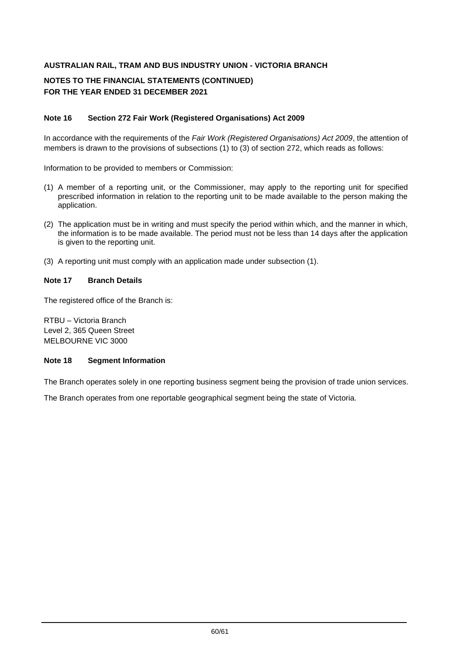# **NOTES TO THE FINANCIAL STATEMENTS (CONTINUED) FOR THE YEAR ENDED 31 DECEMBER 2021**

## **Note 16 Section 272 Fair Work (Registered Organisations) Act 2009**

In accordance with the requirements of the *Fair Work (Registered Organisations) Act 2009*, the attention of members is drawn to the provisions of subsections (1) to (3) of section 272, which reads as follows:

Information to be provided to members or Commission:

- (1) A member of a reporting unit, or the Commissioner, may apply to the reporting unit for specified prescribed information in relation to the reporting unit to be made available to the person making the application.
- (2) The application must be in writing and must specify the period within which, and the manner in which, the information is to be made available. The period must not be less than 14 days after the application is given to the reporting unit.
- (3) A reporting unit must comply with an application made under subsection (1).

#### **Note 17 Branch Details**

The registered office of the Branch is:

RTBU – Victoria Branch Level 2, 365 Queen Street MELBOURNE VIC 3000

#### **Note 18 Segment Information**

The Branch operates solely in one reporting business segment being the provision of trade union services.

The Branch operates from one reportable geographical segment being the state of Victoria.